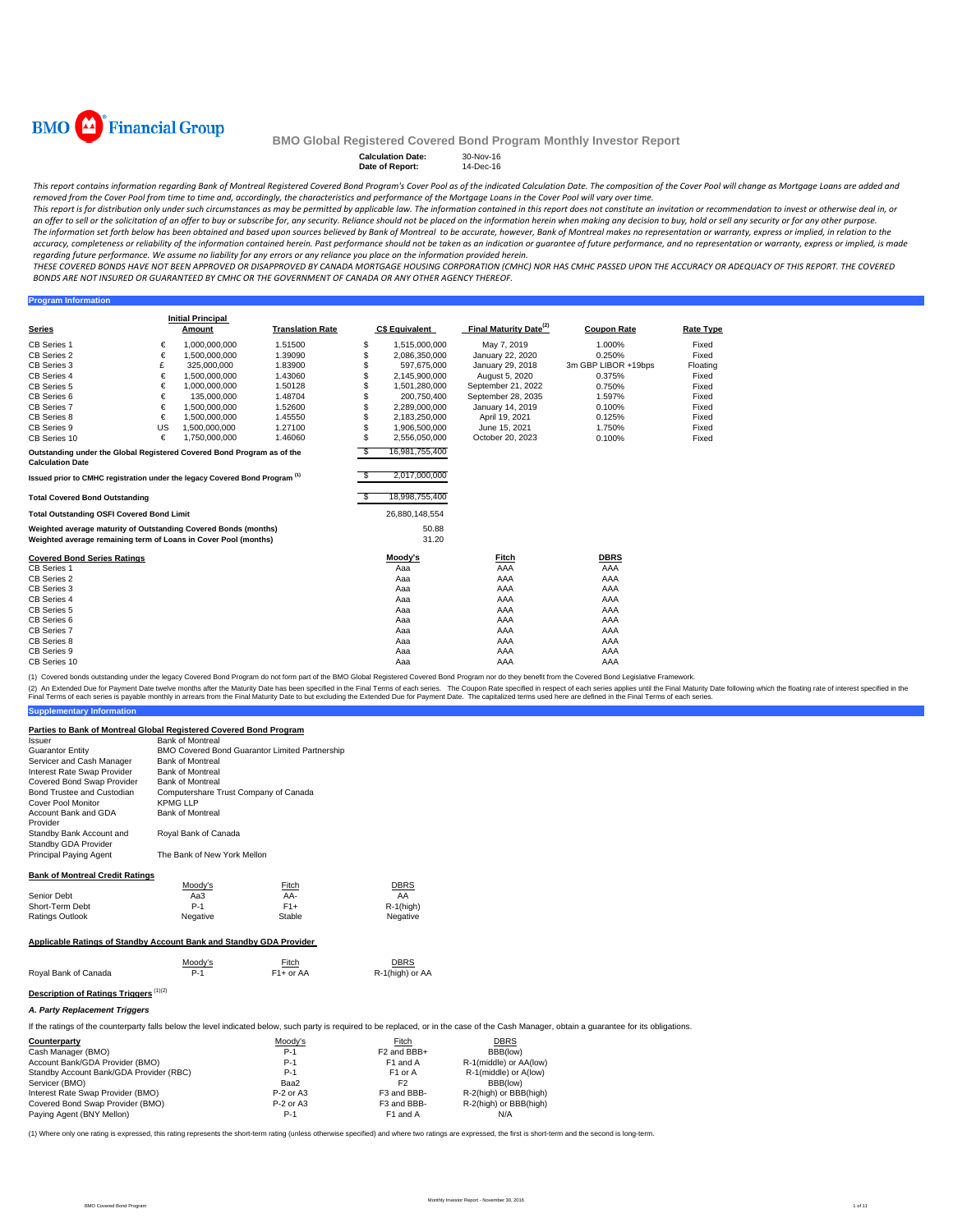

**Program Information**

#### **BMO Global Registered Covered Bond Program Monthly Investor Report**

# **Calculation Date:** 30-Nov-16 **Date of Report:** 14-Dec-16

This report contains information regarding Bank of Montreal Registered Covered Bond Program's Cover Pool as of the indicated Calculation Date. The composition of the Cover Pool will change as Mortgage Loans are added and removed from the Cover Pool from time to time and, accordingly, the characteristics and performance of the Mortgage Loans in the Cover Pool will vary over time.

This report is for distribution only under such circumstances as may be permitted by applicable law. The information contained in this report does not constitute an invitation or recommendation to invest or otherwise deal an offer to sell or the solicitation of an offer to buy or subscribe for, any security. Reliance should not be placed on the information herein when making any decision to buy, hold or sell any security or for any other pu The information set forth below has been obtained and based upon sources believed by Bank of Montreal to be accurate, however, Bank of Montreal makes no representation or warranty, express or implied, in relation to the accuracy, completeness or reliability of the information contained herein. Past performance should not be taken as an indication or guarantee of future performance, and no representation or warranty, express or implied, is regarding future performance. We assume no liability for any errors or any reliance you place on the information provided herein.

THESE COVERED BONDS HAVE NOT BEEN APPROVED OR DISAPPROVED BY CANADA MORTGAGE HOUSING CORPORATION (CMHC) NOR HAS CMHC PASSED UPON THE ACCURACY OR ADEQUACY OF THIS REPORT. THE COVERED BONDS ARE NOT INSURED OR GUARANTEED BY CMHC OR THE GOVERNMENT OF CANADA OR ANY OTHER AGENCY THEREOF.

| <b>Series</b>                                                                                                                      |    | <b>Initial Principal</b><br>Amount | <b>Translation Rate</b> |    | <b>C\$ Equivalent</b> | Final Maturity Date <sup>(2)</sup> | <b>Coupon Rate</b>  | <b>Rate Type</b> |
|------------------------------------------------------------------------------------------------------------------------------------|----|------------------------------------|-------------------------|----|-----------------------|------------------------------------|---------------------|------------------|
| <b>CB Series 1</b>                                                                                                                 | €  | 1.000.000.000                      | 1.51500                 | \$ | 1,515,000,000         | May 7, 2019                        | 1.000%              | Fixed            |
| CB Series 2                                                                                                                        | €  | 1,500,000,000                      | 1.39090                 | S  | 2,086,350,000         | January 22, 2020                   | 0.250%              | Fixed            |
| CB Series 3                                                                                                                        | £  | 325,000,000                        | 1.83900                 | S  | 597.675.000           | January 29, 2018                   | 3m GBP LIBOR +19bps | Floating         |
| CB Series 4                                                                                                                        | €  | 1,500,000,000                      | 1.43060                 | S  | 2,145,900,000         | August 5, 2020                     | 0.375%              | Fixed            |
| CB Series 5                                                                                                                        | €  | 1,000,000,000                      | 1.50128                 |    | 1,501,280,000         | September 21, 2022                 | 0.750%              | Fixed            |
| CB Series 6                                                                                                                        | €  | 135,000,000                        | 1.48704                 | \$ | 200,750,400           | September 28, 2035                 | 1.597%              | Fixed            |
| CB Series 7                                                                                                                        | €  | 1,500,000,000                      | 1.52600                 | S. | 2,289,000,000         | January 14, 2019                   | 0.100%              | Fixed            |
| CB Series 8                                                                                                                        | €  | 1.500.000.000                      | 1.45550                 |    | 2.183.250.000         | April 19, 2021                     | 0.125%              | Fixed            |
| CB Series 9                                                                                                                        | US | 1.500.000.000                      | 1.27100                 | S. | 1,906,500,000         | June 15, 2021                      | 1.750%              | Fixed            |
| CB Series 10                                                                                                                       | €  | 1,750,000,000                      | 1.46060                 | \$ | 2,556,050,000         | October 20, 2023                   | 0.100%              | Fixed            |
| Outstanding under the Global Registered Covered Bond Program as of the<br><b>Calculation Date</b>                                  |    |                                    |                         | -S | 16,981,755,400        |                                    |                     |                  |
| Issued prior to CMHC registration under the legacy Covered Bond Program <sup>(1)</sup>                                             |    |                                    |                         |    | 2,017,000,000         |                                    |                     |                  |
| <b>Total Covered Bond Outstanding</b>                                                                                              |    |                                    |                         |    | 18,998,755,400        |                                    |                     |                  |
| <b>Total Outstanding OSFI Covered Bond Limit</b>                                                                                   |    |                                    |                         |    | 26,880,148,554        |                                    |                     |                  |
| Weighted average maturity of Outstanding Covered Bonds (months)<br>Weighted average remaining term of Loans in Cover Pool (months) |    |                                    |                         |    | 50.88<br>31.20        |                                    |                     |                  |
| <b>Covered Bond Series Ratings</b>                                                                                                 |    |                                    |                         |    | Moody's               | Fitch                              | <b>DBRS</b>         |                  |
| CB Series 1                                                                                                                        |    |                                    |                         |    | Aaa                   | AAA                                | AAA                 |                  |
| CB Series 2                                                                                                                        |    |                                    |                         |    | Aaa                   | AAA                                | AAA                 |                  |
| CB Series 3                                                                                                                        |    |                                    |                         |    | Aaa                   | AAA                                | AAA                 |                  |
| CB Series 4                                                                                                                        |    |                                    |                         |    | Aaa                   | AAA                                | AAA                 |                  |
| <b>CB Series 5</b>                                                                                                                 |    |                                    |                         |    | Aaa                   | AAA                                | AAA                 |                  |
| CB Series 6                                                                                                                        |    |                                    |                         |    | Aaa                   | AAA                                | AAA                 |                  |
| CB Series 7                                                                                                                        |    |                                    |                         |    | Aaa                   | AAA                                | AAA                 |                  |
| CB Series 8                                                                                                                        |    |                                    |                         |    | Aaa                   | AAA                                | AAA                 |                  |
| CB Series 9                                                                                                                        |    |                                    |                         |    | Aaa                   | AAA                                | AAA                 |                  |
| CB Series 10                                                                                                                       |    |                                    |                         |    | Aaa                   | AAA                                | AAA                 |                  |

(1) Covered bonds outstanding under the legacy Covered Bond Program do not form part of the BMO Global Registered Covered Bond Program nor do they benefit from the Covered Bond Legislative Framework.

(2) An Extended Due for Payment Date twelve months after the Maturity Date has been specified in the Final Terms of each series. The Coupon Rate specified in the found the final Maturity Date to but excluding the Extended

**Supplementary Information** 

| Parties to Bank of Montreal Global Registered Covered Bond Program |
|--------------------------------------------------------------------|
| <b>Bank of Montreal</b>                                            |
| BMO Covered Bond Guarantor Limited Partnership                     |
| <b>Bank of Montreal</b>                                            |
| <b>Bank of Montreal</b>                                            |
| <b>Bank of Montreal</b>                                            |
| Computershare Trust Company of Canada                              |
| <b>KPMG LLP</b>                                                    |
| <b>Bank of Montreal</b>                                            |
|                                                                    |
| Royal Bank of Canada                                               |
|                                                                    |
| The Bank of New York Mellon                                        |
|                                                                    |
|                                                                    |

#### **Bank of Montreal Credit Ratings**

|                 | Moody's  | Fitch  | <b>DBRS</b>  |
|-----------------|----------|--------|--------------|
| Senior Debt     | АаЗ      | AA-    | AA           |
| Short-Term Debt | $P-1$    | $F1+$  | $R-1$ (high) |
| Ratings Outlook | Negative | Stable | Negative     |
|                 |          |        |              |

### **Applicable Ratings of Standby Account Bank and Standby GDA Provider**

Royal Bank of Canada

Moody's Fitch DBRS DBRS<br>P-1 F1+ or AA R-1(high) or AA

# **Description of Ratings Triggers** (1)(2)

*A. Party Replacement Triggers*

|  |  |  |  | If the ratings of the counterparty falls below the level indicated below, such party is required to be replaced, or in the case of the Cash Manager, obtain a guarantee for its obligations. |
|--|--|--|--|----------------------------------------------------------------------------------------------------------------------------------------------------------------------------------------------|
|--|--|--|--|----------------------------------------------------------------------------------------------------------------------------------------------------------------------------------------------|

| Counterparty                            | Moody's     | Fitch                   | <b>DBRS</b>            |  |
|-----------------------------------------|-------------|-------------------------|------------------------|--|
| Cash Manager (BMO)                      | $P-1$       | F <sub>2</sub> and BBB+ | BBB(low)               |  |
| Account Bank/GDA Provider (BMO)         | $P-1$       | F <sub>1</sub> and A    | R-1(middle) or AA(low) |  |
| Standby Account Bank/GDA Provider (RBC) | $P-1$       | F <sub>1</sub> or A     | R-1(middle) or A(low)  |  |
| Servicer (BMO)                          | Baa2        | F <sub>2</sub>          | BBB(low)               |  |
| Interest Rate Swap Provider (BMO)       | $P-2$ or A3 | F3 and BBB-             | R-2(high) or BBB(high) |  |
| Covered Bond Swap Provider (BMO)        | P-2 or A3   | F3 and BBB-             | R-2(high) or BBB(high) |  |
| Paying Agent (BNY Mellon)               | $P-1$       | F1 and A                | N/A                    |  |

(1) Where only one rating is expressed, this rating represents the short-term rating (unless otherwise specified) and where two ratings are expressed, the first is short-term and the second is long-term.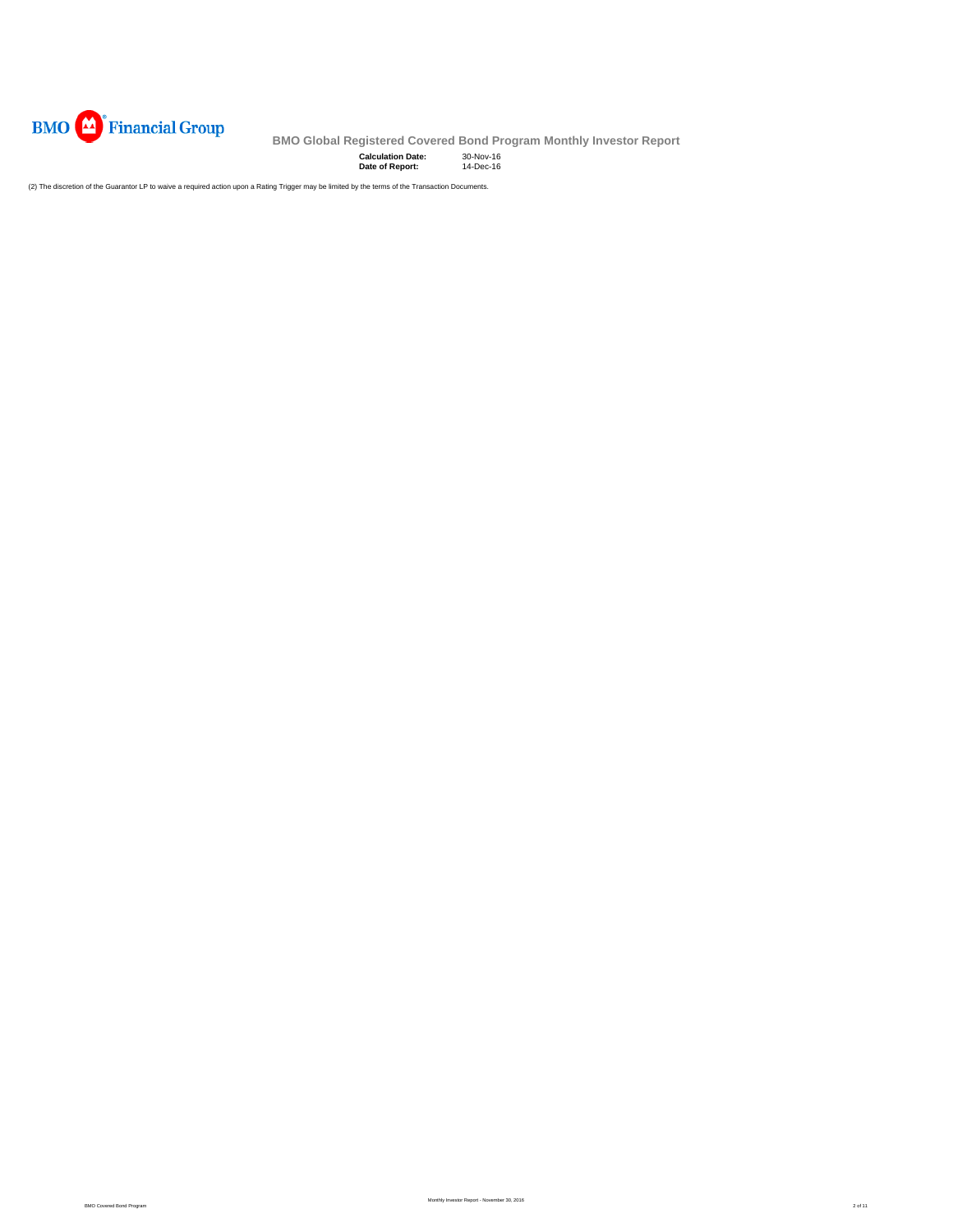

**Calculation Date:** 30-Nov-16 **Date of Report:** 14-Dec-16

(2) The discretion of the Guarantor LP to waive a required action upon a Rating Trigger may be limited by the terms of the Transaction Documents.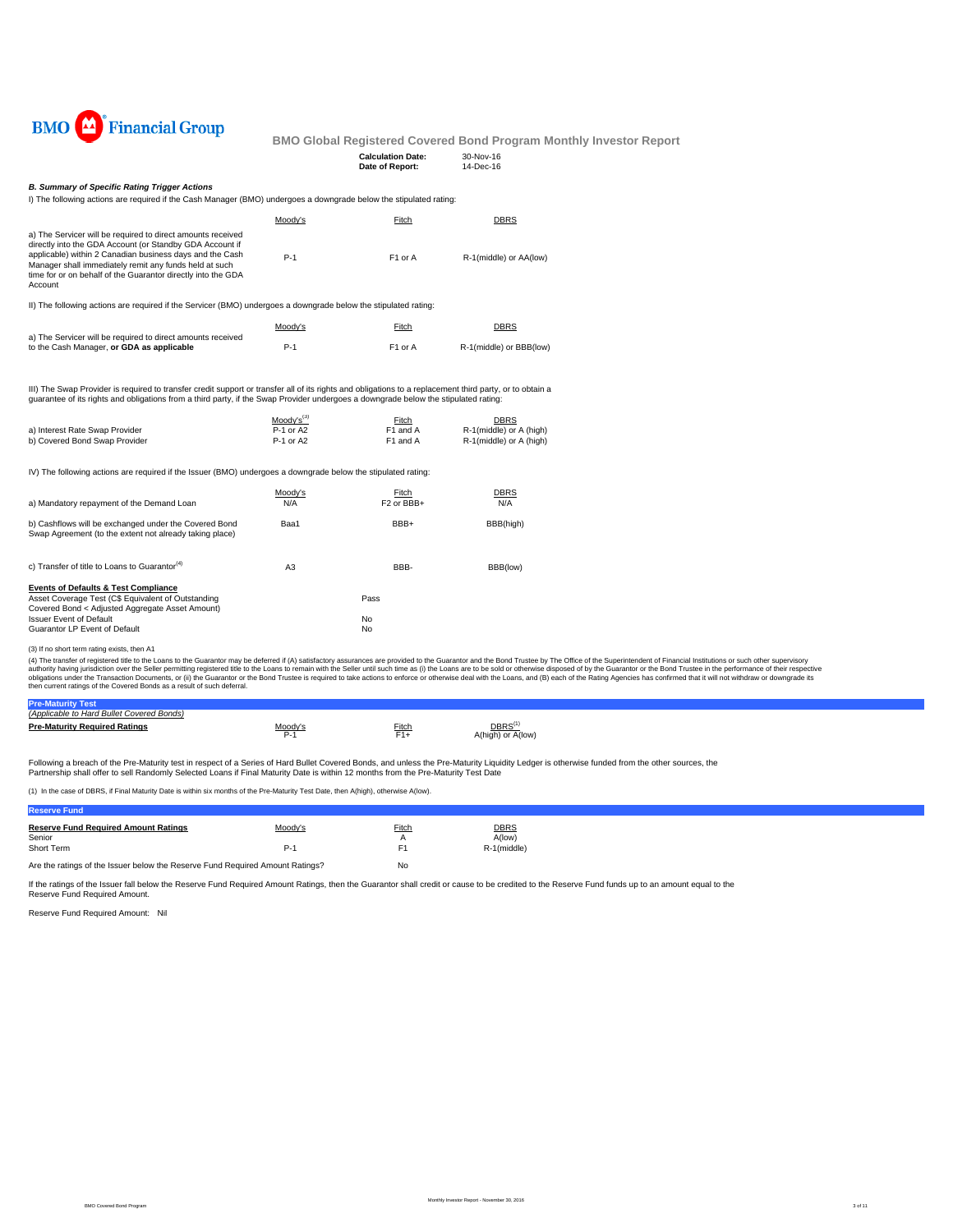

|  | 110 010001 Regionerud Ootered Dona Frogram i   |             |  |
|--|------------------------------------------------|-------------|--|
|  | <b>Calculation Date:</b>                       | $30-Nov-16$ |  |
|  | Date of Report:                                | 14-Dec-16   |  |
|  |                                                |             |  |
|  |                                                |             |  |
|  | rooes a downgrade below the stipulated rating: |             |  |

#### *B. Summary of Specific Rating Trigger Actions*

| I) The following actions are required if the Cash Manager (BMO) undergoes a downgrade below the stipulated rating |  |  |  |  |
|-------------------------------------------------------------------------------------------------------------------|--|--|--|--|
|-------------------------------------------------------------------------------------------------------------------|--|--|--|--|

|                                                                                                                                                                                                                                                                                                                          | Moody's                                  | Fitch                           | <b>DBRS</b>                                                |
|--------------------------------------------------------------------------------------------------------------------------------------------------------------------------------------------------------------------------------------------------------------------------------------------------------------------------|------------------------------------------|---------------------------------|------------------------------------------------------------|
| a) The Servicer will be required to direct amounts received<br>directly into the GDA Account (or Standby GDA Account if<br>applicable) within 2 Canadian business days and the Cash<br>Manager shall immediately remit any funds held at such<br>time for or on behalf of the Guarantor directly into the GDA<br>Account | $P-1$                                    | F1 or A                         | R-1(middle) or AA(low)                                     |
| II) The following actions are required if the Servicer (BMO) undergoes a downgrade below the stipulated rating:                                                                                                                                                                                                          |                                          |                                 |                                                            |
| a) The Servicer will be required to direct amounts received<br>to the Cash Manager, or GDA as applicable                                                                                                                                                                                                                 | Moody's<br>$P-1$                         | Fitch<br>F1 or A                | <b>DBRS</b><br>R-1(middle) or BBB(low)                     |
| III) The Swap Provider is required to transfer credit support or transfer all of its rights and obligations to a replacement third party, or to obtain a<br>guarantee of its rights and obligations from a third party, if the Swap Provider undergoes a downgrade below the stipulated rating:                          |                                          |                                 |                                                            |
| a) Interest Rate Swap Provider<br>b) Covered Bond Swap Provider                                                                                                                                                                                                                                                          | $Mody's^{(3)}$<br>P-1 or A2<br>P-1 or A2 | Fitch<br>F1 and A<br>F1 and A   | DBRS<br>R-1(middle) or A (high)<br>R-1(middle) or A (high) |
| IV) The following actions are required if the Issuer (BMO) undergoes a downgrade below the stipulated rating:                                                                                                                                                                                                            |                                          |                                 |                                                            |
| a) Mandatory repayment of the Demand Loan                                                                                                                                                                                                                                                                                | Moody's<br>N/A                           | Fitch<br>F <sub>2</sub> or BBB+ | <b>DBRS</b><br>N/A                                         |
| b) Cashflows will be exchanged under the Covered Bond<br>Swap Agreement (to the extent not already taking place)                                                                                                                                                                                                         | Baa1                                     | BBB+                            | BBB(high)                                                  |
| c) Transfer of title to Loans to Guarantor <sup>(4)</sup>                                                                                                                                                                                                                                                                | A3                                       | BBB-                            | BBB(low)                                                   |
| <b>Events of Defaults &amp; Test Compliance</b><br>Asset Coverage Test (C\$ Equivalent of Outstanding<br>Covered Bond < Adjusted Aggregate Asset Amount)<br><b>Issuer Event of Default</b><br>Guarantor LP Event of Default                                                                                              |                                          | Pass<br>No<br>No                |                                                            |
| (3) If no short term rating exists, then A1                                                                                                                                                                                                                                                                              |                                          |                                 |                                                            |

(3) If no short term rating exists, then A1<br>(4) The transfer of registered title to the Lalans to the Guarantor may be deferred if (A) satisfactory assurances are provided to the Guarantor and the Bond Trustee by The Offic

| (Applicable to Hard Bullet Covered Bonds) |              |               |                                         |  |
|-------------------------------------------|--------------|---------------|-----------------------------------------|--|
| <b>Pre-Maturity Required Ratings</b>      | Moody'<br>∼- | Fitch<br>- 11 | DBRS <sup>(1</sup><br>A(high) or A(low) |  |

Following a breach of the Pre-Maturity test in respect of a Series of Hard Bullet Covered Bonds, and unless the Pre-Maturity Liquidity Ledger is otherwise funded from the other sources, the<br>Partnership shall offer to sell

(1) In the case of DBRS, if Final Maturity Date is within six months of the Pre-Maturity Test Date, then A(high), otherwise A(low).

| <b>Reserve Fund</b>                                                                         |         |          |                       |
|---------------------------------------------------------------------------------------------|---------|----------|-----------------------|
| <b>Reserve Fund Required Amount Ratings</b><br>Senior                                       | Moody's | Fitch    | <b>DBRS</b><br>A(low) |
| Short Term<br>Are the ratings of the Issuer below the Reserve Fund Reguired Amount Ratings? | P-'     | F1<br>No | R-1(middle)           |
|                                                                                             |         |          |                       |

If the ratings of the Issuer fall below the Reserve Fund Required Amount Ratings, then the Guarantor shall credit or cause to be credited to the Reserve Fund funds up to an amount equal to the Reserve Fund Required Amount.

Reserve Fund Required Amount: Nil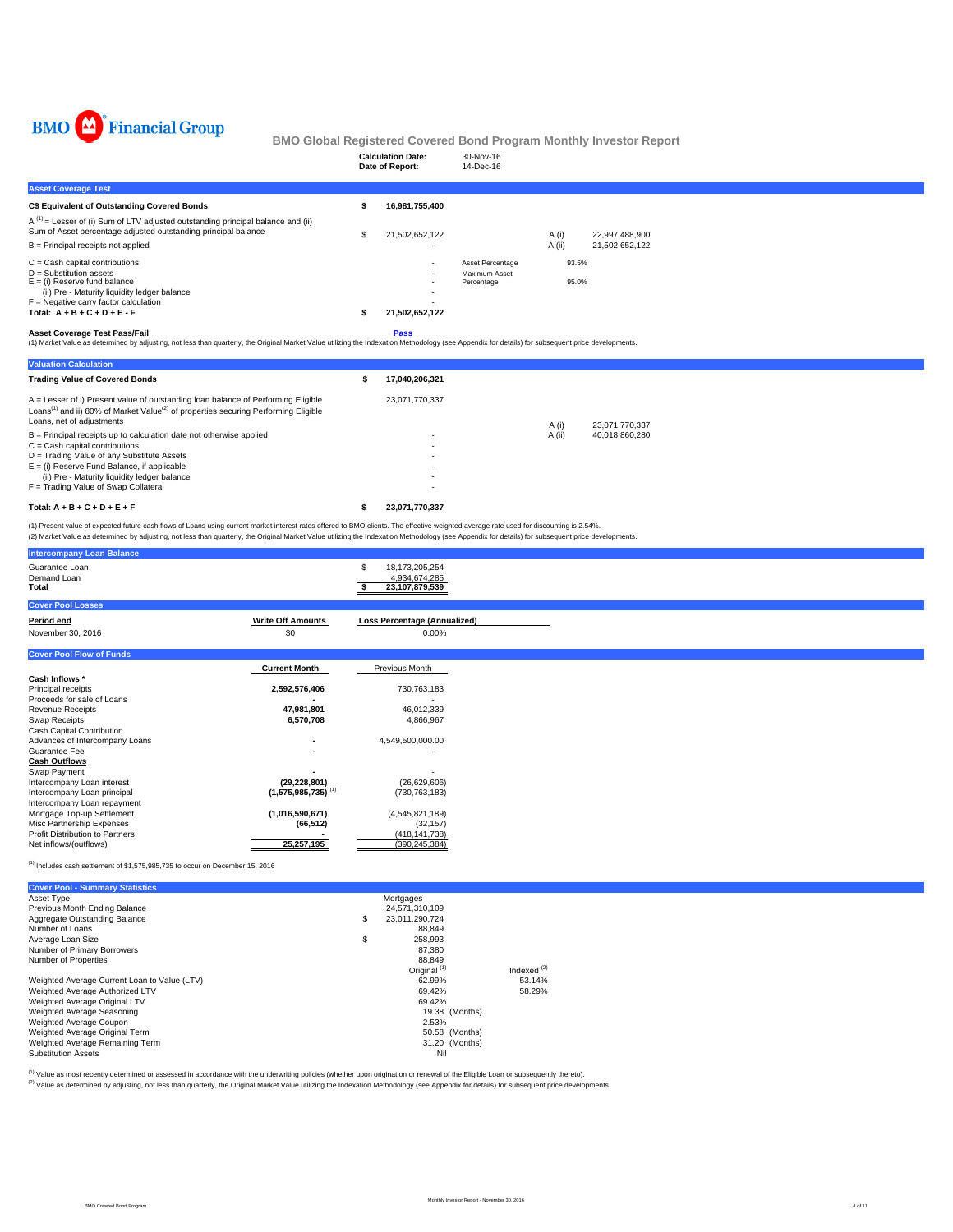

|                                                                                                                                                                                                                                                                                                                                                                                               |    | <b>Calculation Date:</b><br>Date of Report:       | 30-Nov-16<br>14-Dec-16                          |                |                |  |
|-----------------------------------------------------------------------------------------------------------------------------------------------------------------------------------------------------------------------------------------------------------------------------------------------------------------------------------------------------------------------------------------------|----|---------------------------------------------------|-------------------------------------------------|----------------|----------------|--|
| <b>Asset Coverage Test</b>                                                                                                                                                                                                                                                                                                                                                                    |    |                                                   |                                                 |                |                |  |
| C\$ Equivalent of Outstanding Covered Bonds                                                                                                                                                                                                                                                                                                                                                   | s  | 16,981,755,400                                    |                                                 |                |                |  |
| $A^{(1)}$ = Lesser of (i) Sum of LTV adjusted outstanding principal balance and (ii)<br>Sum of Asset percentage adjusted outstanding principal balance                                                                                                                                                                                                                                        | S  | 21,502,652,122                                    |                                                 | A (i)          | 22,997,488,900 |  |
| $B =$ Principal receipts not applied                                                                                                                                                                                                                                                                                                                                                          |    |                                                   |                                                 | A(ii)          | 21,502,652,122 |  |
| $C = Cash$ capital contributions<br>$D =$ Substitution assets<br>$E =$ (i) Reserve fund balance<br>(ii) Pre - Maturity liquidity ledger balance<br>$F =$ Negative carry factor calculation<br>Total: $A + B + C + D + E - F$                                                                                                                                                                  | s  | 21,502,652,122                                    | Asset Percentage<br>Maximum Asset<br>Percentage | 93.5%<br>95.0% |                |  |
| <b>Asset Coverage Test Pass/Fail</b><br>(1) Market Value as determined by adjusting, not less than quarterly, the Original Market Value utilizing the Indexation Methodology (see Appendix for details) for subsequent price developments.                                                                                                                                                    |    | Pass                                              |                                                 |                |                |  |
| <b>Valuation Calculation</b>                                                                                                                                                                                                                                                                                                                                                                  |    |                                                   |                                                 |                |                |  |
| <b>Trading Value of Covered Bonds</b>                                                                                                                                                                                                                                                                                                                                                         | \$ | 17,040,206,321                                    |                                                 |                |                |  |
| A = Lesser of i) Present value of outstanding loan balance of Performing Eligible<br>Loans <sup>(1)</sup> and ii) 80% of Market Value <sup>(2)</sup> of properties securing Performing Eligible<br>Loans, net of adjustments                                                                                                                                                                  |    | 23,071,770,337                                    |                                                 | A (i)          | 23,071,770,337 |  |
| B = Principal receipts up to calculation date not otherwise applied<br>$C =$ Cash capital contributions<br>D = Trading Value of any Substitute Assets<br>$E =$ (i) Reserve Fund Balance, if applicable<br>(ii) Pre - Maturity liquidity ledger balance<br>F = Trading Value of Swap Collateral                                                                                                |    |                                                   |                                                 | A (ii)         | 40,018,860,280 |  |
| Total: $A + B + C + D + E + F$                                                                                                                                                                                                                                                                                                                                                                | \$ | 23,071,770,337                                    |                                                 |                |                |  |
| (1) Present value of expected future cash flows of Loans using current market interest rates offered to BMO clients. The effective weighted average rate used for discounting is 2.54%.<br>(2) Market Value as determined by adjusting, not less than quarterly, the Original Market Value utilizing the Indexation Methodology (see Appendix for details) for subsequent price developments. |    |                                                   |                                                 |                |                |  |
| <b>Intercompany Loan Balance</b>                                                                                                                                                                                                                                                                                                                                                              |    |                                                   |                                                 |                |                |  |
| Guarantee Loan<br>Demand Loan<br>Total                                                                                                                                                                                                                                                                                                                                                        | S  | 18,173,205,254<br>4,934,674,285<br>23,107,879,539 |                                                 |                |                |  |
| <b>Cover Pool Losses</b>                                                                                                                                                                                                                                                                                                                                                                      |    |                                                   |                                                 |                |                |  |
| <b>Write Off Amounts</b><br>Period end<br>\$0<br>November 30, 2016                                                                                                                                                                                                                                                                                                                            |    | <b>Loss Percentage (Annualized)</b><br>0.00%      |                                                 |                |                |  |
| <b>Cover Pool Flow of Funds</b>                                                                                                                                                                                                                                                                                                                                                               |    |                                                   |                                                 |                |                |  |
| <b>Current Month</b>                                                                                                                                                                                                                                                                                                                                                                          |    | Previous Month                                    |                                                 |                |                |  |

|                                        | <b>Current Month</b>             | Previous Month   |
|----------------------------------------|----------------------------------|------------------|
| Cash Inflows *                         |                                  |                  |
| Principal receipts                     | 2,592,576,406                    | 730,763,183      |
| Proceeds for sale of Loans             |                                  |                  |
| <b>Revenue Receipts</b>                | 47.981.801                       | 46,012,339       |
| Swap Receipts                          | 6.570.708                        | 4.866.967        |
| Cash Capital Contribution              |                                  |                  |
| Advances of Intercompany Loans         |                                  | 4.549.500.000.00 |
| Guarantee Fee                          |                                  |                  |
| <b>Cash Outflows</b>                   |                                  |                  |
| Swap Payment                           |                                  |                  |
| Intercompany Loan interest             | (29, 228, 801)                   | (26,629,606)     |
| Intercompany Loan principal            | $(1.575.985.735)$ <sup>(1)</sup> | (730, 763, 183)  |
| Intercompany Loan repayment            |                                  |                  |
| Mortgage Top-up Settlement             | (1,016,590,671)                  | (4,545,821,189)  |
| Misc Partnership Expenses              | (66, 512)                        | (32, 157)        |
| <b>Profit Distribution to Partners</b> |                                  | (418, 141, 738)  |
| Net inflows/(outflows)                 | 25, 257, 195                     | (390, 245, 384)  |

 $^{(1)}$  Includes cash settlement of \$1,575,985,735 to occur on December 15, 2016

| <b>Cover Pool - Summary Statistics</b>       |                         |               |
|----------------------------------------------|-------------------------|---------------|
| Asset Type                                   | Mortgages               |               |
| Previous Month Ending Balance                | 24,571,310,109          |               |
| Aggregate Outstanding Balance                | \$<br>23.011.290.724    |               |
| Number of Loans                              | 88.849                  |               |
| Average Loan Size                            | \$<br>258.993           |               |
| Number of Primary Borrowers                  | 87.380                  |               |
| Number of Properties                         | 88.849                  |               |
|                                              | Original <sup>(1)</sup> | Indexed $(2)$ |
| Weighted Average Current Loan to Value (LTV) | 62.99%                  | 53.14%        |
| Weighted Average Authorized LTV              | 69.42%                  | 58.29%        |
| Weighted Average Original LTV                | 69.42%                  |               |
| Weighted Average Seasoning                   | 19.38 (Months)          |               |
| Weighted Average Coupon                      | 2.53%                   |               |
| Weighted Average Original Term               | 50.58 (Months)          |               |
| Weighted Average Remaining Term              | 31.20 (Months)          |               |
| <b>Substitution Assets</b>                   | Nil                     |               |

<sup>(t)</sup> Value as most recently determined or assessed in accordance with the underwriting policies (whether upon origination or renewal of the Eligible Loan or subsequently thereto).<br><sup>(2)</sup> Value as determined by adjusting, n

BMO Covered Bond Program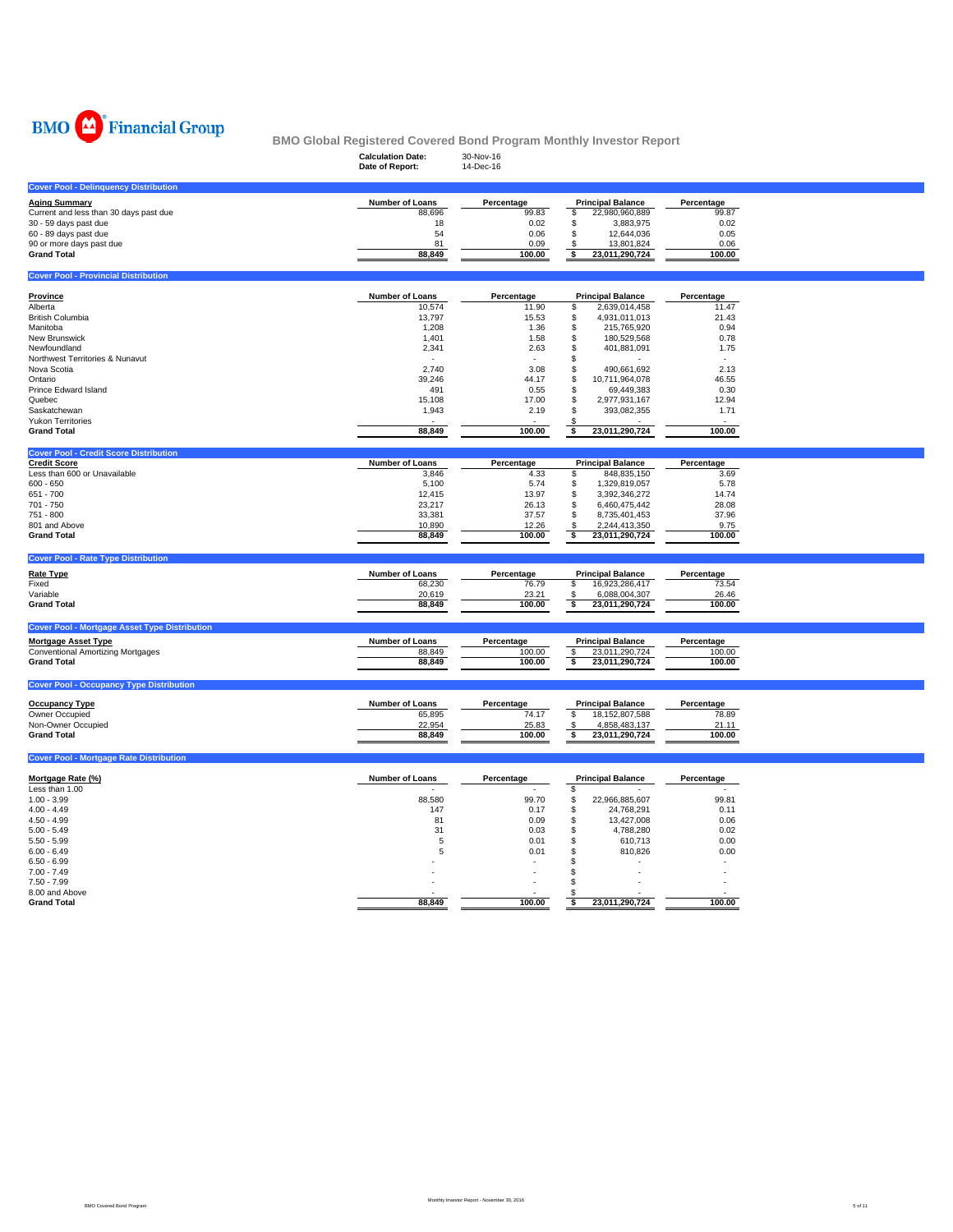

|                                                                      | <b>Calculation Date:</b>  | 30-Nov-16           | <u>DMO GIODAI INEGISIEIEU GOVEIEU DOIIU FTOGIAIII MOIIUIII IIIVESIOI INEPOIT</u> |                     |  |
|----------------------------------------------------------------------|---------------------------|---------------------|----------------------------------------------------------------------------------|---------------------|--|
|                                                                      | Date of Report:           | 14-Dec-16           |                                                                                  |                     |  |
| <b>Cover Pool - Delinquency Distribution</b>                         |                           |                     |                                                                                  |                     |  |
| <b>Aging Summary</b>                                                 | Number of Loans           | Percentage          | <b>Principal Balance</b>                                                         | Percentage          |  |
| Current and less than 30 days past due                               | 88,696                    | 99.83               | \$<br>22,980,960,889                                                             | 99.87               |  |
| 30 - 59 days past due<br>60 - 89 days past due                       | 18<br>54                  | 0.02<br>0.06        | \$<br>3,883,975<br>\$<br>12,644,036                                              | 0.02<br>0.05        |  |
| 90 or more days past due                                             | 81                        | 0.09                | \$<br>13,801,824                                                                 | 0.06                |  |
| <b>Grand Total</b>                                                   | 88,849                    | 100.00              | \$<br>23,011,290,724                                                             | 100.00              |  |
| <b>Cover Pool - Provincial Distribution</b>                          |                           |                     |                                                                                  |                     |  |
|                                                                      |                           |                     |                                                                                  |                     |  |
| <b>Province</b><br>Alberta                                           | Number of Loans<br>10,574 | Percentage<br>11.90 | <b>Principal Balance</b><br>\$<br>2,639,014,458                                  | Percentage<br>11.47 |  |
| <b>British Columbia</b>                                              | 13,797                    | 15.53               | \$<br>4,931,011,013                                                              | 21.43               |  |
| Manitoba                                                             | 1,208                     | 1.36                | \$<br>215,765,920                                                                | 0.94                |  |
| New Brunswick                                                        | 1,401                     | 1.58                | \$<br>180,529,568                                                                | 0.78                |  |
| Newfoundland                                                         | 2,341                     | 2.63                | \$<br>401,881,091                                                                | 1.75                |  |
| Northwest Territories & Nunavut<br>Nova Scotia                       | 2,740                     | 3.08                | \$<br>\$<br>490,661,692                                                          | 2.13                |  |
| Ontario                                                              | 39,246                    | 44.17               | \$<br>10,711,964,078                                                             | 46.55               |  |
| Prince Edward Island                                                 | 491                       | 0.55                | \$<br>69,449,383                                                                 | 0.30                |  |
| Quebec                                                               | 15,108                    | 17.00               | \$<br>2,977,931,167                                                              | 12.94               |  |
| Saskatchewan                                                         | 1,943                     | 2.19                | \$<br>393,082,355                                                                | 1.71                |  |
| <b>Yukon Territories</b><br><b>Grand Total</b>                       | 88,849                    | 100.00              | 23,011,290,724<br>$\overline{\bullet}$                                           | $\sim$<br>100.00    |  |
|                                                                      |                           |                     |                                                                                  |                     |  |
| <b>Cover Pool - Credit Score Distribution</b><br><b>Credit Score</b> | Number of Loans           | Percentage          | <b>Principal Balance</b>                                                         | Percentage          |  |
| Less than 600 or Unavailable                                         | 3,846                     | 4.33                | 848,835,150<br>\$                                                                | 3.69                |  |
| $600 - 650$                                                          | 5,100                     | 5.74                | \$<br>1,329,819,057                                                              | 5.78                |  |
| 651 - 700                                                            | 12,415                    | 13.97               | \$<br>3,392,346,272                                                              | 14.74               |  |
| 701 - 750                                                            | 23,217                    | 26.13               | 6,460,475,442<br>\$                                                              | 28.08               |  |
| 751 - 800<br>801 and Above                                           | 33,381<br>10,890          | 37.57<br>12.26      | 8,735,401,453<br>\$<br>2,244,413,350<br>S                                        | 37.96<br>9.75       |  |
| <b>Grand Total</b>                                                   | 88,849                    | 100.00              | ॱऽ<br>23,011,290,724                                                             | 100.00              |  |
| <b>Cover Pool - Rate Type Distribution</b>                           |                           |                     |                                                                                  |                     |  |
|                                                                      | Number of Loans           |                     |                                                                                  | Percentage          |  |
| <b>Rate Type</b><br>Fixed                                            | 68,230                    | Percentage<br>76.79 | <b>Principal Balance</b><br>16,923,286,417<br>\$                                 | 73.54               |  |
| Variable                                                             | 20,619                    | 23.21               | 6,088,004,307<br>\$                                                              | 26.46               |  |
| <b>Grand Total</b>                                                   | 88,849                    | 100.00              | \$<br>23,011,290,724                                                             | 100.00              |  |
| <b>Cover Pool - Mortgage Asset Type Distribution</b>                 |                           |                     |                                                                                  |                     |  |
| <b>Mortgage Asset Type</b>                                           | Number of Loans           | Percentage          | <b>Principal Balance</b>                                                         | Percentage          |  |
| <b>Conventional Amortizing Mortgages</b>                             | 88,849                    | 100.00              | \$<br>23,011,290,724                                                             | 100.00              |  |
| <b>Grand Total</b>                                                   | 88,849                    | 100.00              | s<br>23,011,290,724                                                              | 100.00              |  |
| <b>Cover Pool - Occupancy Type Distribution</b>                      |                           |                     |                                                                                  |                     |  |
| <b>Occupancy Type</b>                                                | Number of Loans           | Percentage          | <b>Principal Balance</b>                                                         | Percentage          |  |
| Owner Occupied                                                       | 65,895                    | 74.17               | \$<br>18, 152, 807, 588                                                          | 78.89               |  |
| Non-Owner Occupied                                                   | 22,954                    | 25.83               | \$<br>4,858,483,137                                                              | 21.11               |  |
| <b>Grand Total</b>                                                   | 88,849                    | 100.00              | 23,011,290,724<br>\$                                                             | 100.00              |  |
|                                                                      |                           |                     |                                                                                  |                     |  |
| <b>Cover Pool - Mortgage Rate Distribution</b>                       |                           |                     |                                                                                  |                     |  |
|                                                                      |                           |                     |                                                                                  |                     |  |
| Mortgage Rate (%)                                                    | Number of Loans           | Percentage          | <b>Principal Balance</b>                                                         | Percentage          |  |
| Less than 1.00<br>$1.00 - 3.99$                                      | 88,580                    | 99.70               | \$<br>\$<br>22,966,885,607                                                       | 99.81               |  |
| $4.00 - 4.49$                                                        | 147                       | 0.17                | \$<br>24,768,291                                                                 | 0.11                |  |
| $4.50 - 4.99$                                                        | 81                        | 0.09                | \$<br>13,427,008                                                                 | 0.06                |  |
| $5.00 - 5.49$                                                        | 31                        | 0.03                | \$<br>4,788,280                                                                  | 0.02                |  |
| $5.50 - 5.99$                                                        | 5                         | 0.01                | \$<br>610,713                                                                    | 0.00                |  |
| $6.00 - 6.49$<br>$6.50 - 6.99$                                       | 5                         | 0.01                | \$<br>810,826<br>\$                                                              | 0.00                |  |
| $7.00 - 7.49$                                                        |                           | ÷,                  | \$                                                                               | ÷                   |  |
| $7.50 - 7.99$                                                        |                           |                     | \$                                                                               |                     |  |
| 8.00 and Above<br><b>Grand Total</b>                                 | 88,849                    | 100.00              | \$<br>23,011,290,724                                                             | 100.00              |  |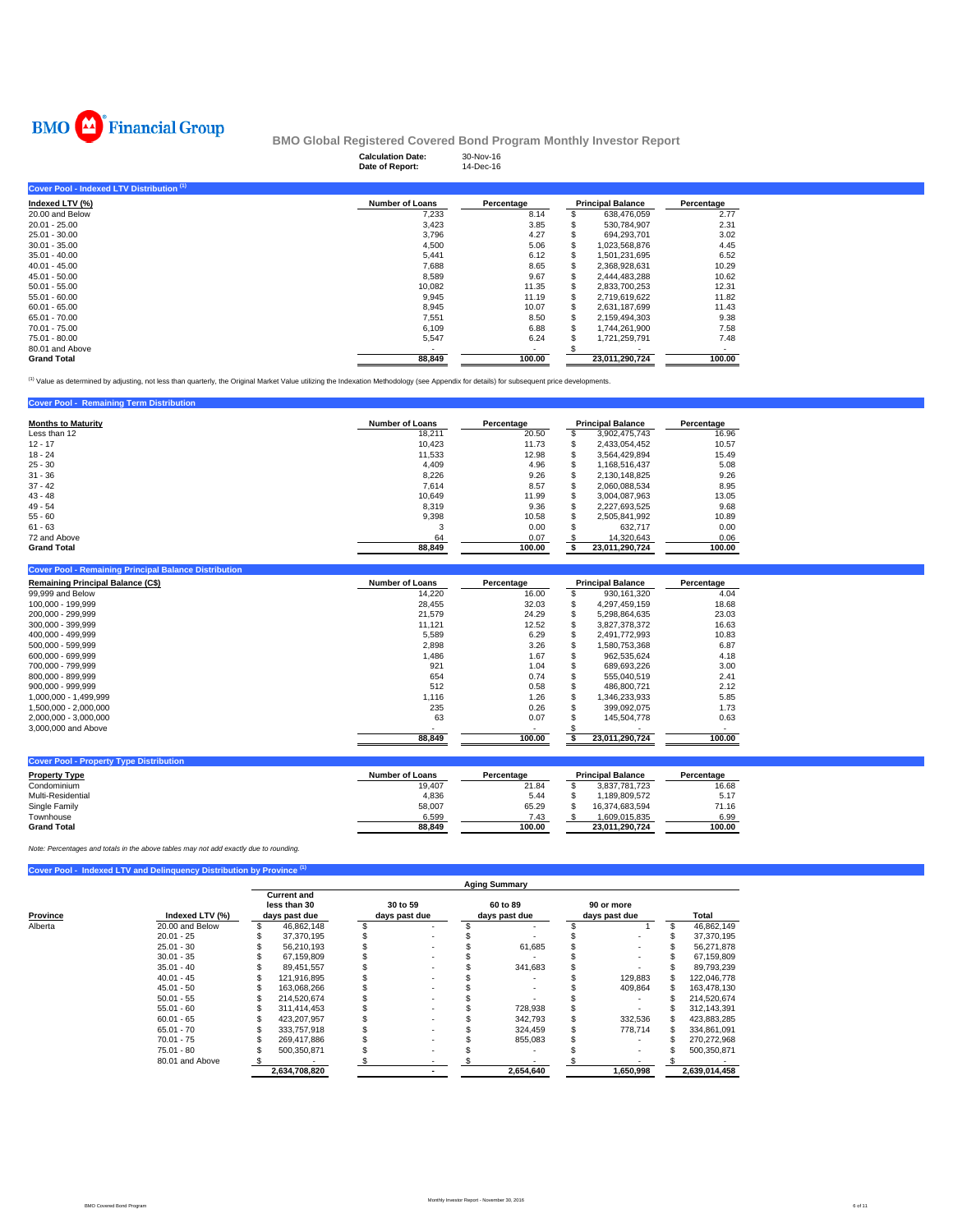

|                                           | <b>Calculation Date:</b><br>Date of Report: | 30-Nov-16<br>14-Dec-16 |   |                          |            |
|-------------------------------------------|---------------------------------------------|------------------------|---|--------------------------|------------|
| Cover Pool - Indexed LTV Distribution (1) |                                             |                        |   |                          |            |
| Indexed LTV (%)                           | <b>Number of Loans</b>                      | Percentage             |   | <b>Principal Balance</b> | Percentage |
| 20.00 and Below                           | 7,233                                       | 8.14                   |   | 638,476,059              | 2.77       |
| $20.01 - 25.00$                           | 3,423                                       | 3.85                   |   | 530,784,907              | 2.31       |
| $25.01 - 30.00$                           | 3,796                                       | 4.27                   |   | 694,293,701              | 3.02       |
| $30.01 - 35.00$                           | 4,500                                       | 5.06                   |   | 1.023.568.876            | 4.45       |
| $35.01 - 40.00$                           | 5,441                                       | 6.12                   |   | 1,501,231,695            | 6.52       |
| $40.01 - 45.00$                           | 7,688                                       | 8.65                   |   | 2,368,928,631            | 10.29      |
| $45.01 - 50.00$                           | 8,589                                       | 9.67                   |   | 2,444,483,288            | 10.62      |
| $50.01 - 55.00$                           | 10,082                                      | 11.35                  |   | 2,833,700,253            | 12.31      |
| $55.01 - 60.00$                           | 9,945                                       | 11.19                  | S | 2,719,619,622            | 11.82      |
| $60.01 - 65.00$                           | 8,945                                       | 10.07                  |   | 2,631,187,699            | 11.43      |
| 65.01 - 70.00                             | 7,551                                       | 8.50                   | s | 2,159,494,303            | 9.38       |
| 70.01 - 75.00                             | 6,109                                       | 6.88                   |   | 1.744.261.900            | 7.58       |
| 75.01 - 80.00                             | 5,547                                       | 6.24                   |   | 1,721,259,791            | 7.48       |
| 80.01 and Above                           | ۰                                           | ۰.                     |   |                          | ۰          |
| <b>Grand Total</b>                        | 88,849                                      | 100.00                 |   | 23,011,290,724           | 100.00     |

<sup>(1)</sup> Value as determined by adjusting, not less than quarterly, the Original Market Value utilizing the Indexation Methodology (see Appendix for details) for subsequent price developments.

### **Cover Pool - Remaining Term Distribution**

| <b>Months to Maturity</b> | <b>Number of Loans</b> | Percentage | <b>Principal Balance</b> |                | Percentage |
|---------------------------|------------------------|------------|--------------------------|----------------|------------|
| Less than 12              | 18.211                 | 20.50      |                          | 3,902,475,743  | 16.96      |
| $12 - 17$                 | 10.423                 | 11.73      |                          | 2,433,054,452  | 10.57      |
| $18 - 24$                 | 11.533                 | 12.98      |                          | 3,564,429,894  | 15.49      |
| $25 - 30$                 | 4.409                  | 4.96       |                          | 1,168,516,437  | 5.08       |
| $31 - 36$                 | 8,226                  | 9.26       |                          | 2,130,148,825  | 9.26       |
| $37 - 42$                 | 7,614                  | 8.57       |                          | 2,060,088,534  | 8.95       |
| $43 - 48$                 | 10.649                 | 11.99      |                          | 3,004,087,963  | 13.05      |
| $49 - 54$                 | 8.319                  | 9.36       |                          | 2,227,693,525  | 9.68       |
| $55 - 60$                 | 9.398                  | 10.58      |                          | 2,505,841,992  | 10.89      |
| $61 - 63$                 | 3                      | 0.00       |                          | 632,717        | 0.00       |
| 72 and Above              | 64                     | 0.07       |                          | 14,320,643     | 0.06       |
| <b>Grand Total</b>        | 88.849                 | 100.00     |                          | 23.011.290.724 | 100.00     |

#### **Cover Pool - Remaining Principal Balance Distribution**

| <b>Remaining Principal Balance (C\$)</b> | <b>Number of Loans</b> | Percentage | <b>Principal Balance</b> | Percentage |  |  |
|------------------------------------------|------------------------|------------|--------------------------|------------|--|--|
| 99,999 and Below                         | 14,220                 | 16.00      | 930.161.320              | 4.04       |  |  |
| 100.000 - 199.999                        | 28.455                 | 32.03      | 4.297.459.159            | 18.68      |  |  |
| 200.000 - 299.999                        | 21.579                 | 24.29      | 5.298.864.635            | 23.03      |  |  |
| 300.000 - 399.999                        | 11,121                 | 12.52      | 3.827.378.372            | 16.63      |  |  |
| 400.000 - 499.999                        | 5.589                  | 6.29       | 2.491.772.993            | 10.83      |  |  |
| 500.000 - 599.999                        | 2,898                  | 3.26       | 1.580.753.368            | 6.87       |  |  |
| 600,000 - 699,999                        | 1,486                  | 1.67       | 962,535,624              | 4.18       |  |  |
| 700.000 - 799.999                        | 921                    | 1.04       | 689.693.226              | 3.00       |  |  |
| 800.000 - 899.999                        | 654                    | 0.74       | 555.040.519              | 2.41       |  |  |
| 900.000 - 999.999                        | 512                    | 0.58       | 486.800.721              | 2.12       |  |  |
| 1.000.000 - 1.499.999                    | 1.116                  | 1.26       | 1.346.233.933            | 5.85       |  |  |
| 1.500.000 - 2.000.000                    | 235                    | 0.26       | 399.092.075              | 1.73       |  |  |
| 2.000.000 - 3.000.000                    | 63                     | 0.07       | 145.504.778              | 0.63       |  |  |
| 3,000,000 and Above                      |                        |            |                          |            |  |  |
|                                          | 88.849                 | 100.00     | 23.011.290.724           | 100.00     |  |  |

| <b>Cover Pool - Property Type Distribution</b> |                 |            |                          |            |
|------------------------------------------------|-----------------|------------|--------------------------|------------|
| <b>Property Type</b>                           | Number of Loans | Percentage | <b>Principal Balance</b> | Percentage |
| Condominium                                    | 19.407          | 21.84      | 3.837.781.723            | 16.68      |
| Multi-Residential                              | 4,836           | 5.44       | .189.809.572             | 5.17       |
| Single Family                                  | 58,007          | 65.29      | 16.374.683.594           | 71.16      |
| Townhouse                                      | 6.599           | 7.43       | 1.609.015.835            | 6.99       |
| <b>Grand Total</b>                             | 88.849          | 100.00     | 23.011.290.724           | 100.00     |

*Note: Percentages and totals in the above tables may not add exactly due to rounding.*

### **Cover Pool - Indexed LTV and Delinquency Distribution by Province**

|          |                 | <b>Aging Summary</b>                                |               |                           |   |  |                           |  |                             |  |               |  |  |  |
|----------|-----------------|-----------------------------------------------------|---------------|---------------------------|---|--|---------------------------|--|-----------------------------|--|---------------|--|--|--|
| Province | Indexed LTV (%) | <b>Current and</b><br>less than 30<br>days past due |               | 30 to 59<br>days past due |   |  | 60 to 89<br>days past due |  | 90 or more<br>days past due |  | Total         |  |  |  |
| Alberta  | 20.00 and Below |                                                     | 46.862.148    |                           |   |  |                           |  |                             |  | 46,862,149    |  |  |  |
|          | $20.01 - 25$    |                                                     | 37,370,195    |                           | ٠ |  |                           |  |                             |  | 37,370,195    |  |  |  |
|          | $25.01 - 30$    |                                                     | 56.210.193    |                           | ٠ |  | 61.685                    |  |                             |  | 56,271,878    |  |  |  |
|          | $30.01 - 35$    |                                                     | 67.159.809    |                           | ۰ |  |                           |  |                             |  | 67,159,809    |  |  |  |
|          | $35.01 - 40$    |                                                     | 89.451.557    |                           | ٠ |  | 341,683                   |  |                             |  | 89,793,239    |  |  |  |
|          | $40.01 - 45$    |                                                     | 121,916,895   |                           | ٠ |  |                           |  | 129,883                     |  | 122,046,778   |  |  |  |
|          | $45.01 - 50$    |                                                     | 163.068.266   |                           |   |  |                           |  | 409.864                     |  | 163,478,130   |  |  |  |
|          | $50.01 - 55$    |                                                     | 214.520.674   |                           |   |  |                           |  |                             |  | 214,520,674   |  |  |  |
|          | $55.01 - 60$    |                                                     | 311.414.453   |                           |   |  | 728,938                   |  |                             |  | 312,143,391   |  |  |  |
|          | $60.01 - 65$    |                                                     | 423.207.957   |                           |   |  | 342,793                   |  | 332,536                     |  | 423,883,285   |  |  |  |
|          | $65.01 - 70$    |                                                     | 333.757.918   |                           |   |  | 324,459                   |  | 778,714                     |  | 334,861,091   |  |  |  |
|          | $70.01 - 75$    |                                                     | 269.417.886   |                           |   |  | 855,083                   |  |                             |  | 270,272,968   |  |  |  |
|          | $75.01 - 80$    |                                                     | 500,350,871   |                           |   |  |                           |  |                             |  | 500,350,871   |  |  |  |
|          | 80.01 and Above |                                                     |               |                           |   |  |                           |  |                             |  |               |  |  |  |
|          |                 |                                                     | 2,634,708,820 |                           |   |  | 2,654,640                 |  | 1,650,998                   |  | 2,639,014,458 |  |  |  |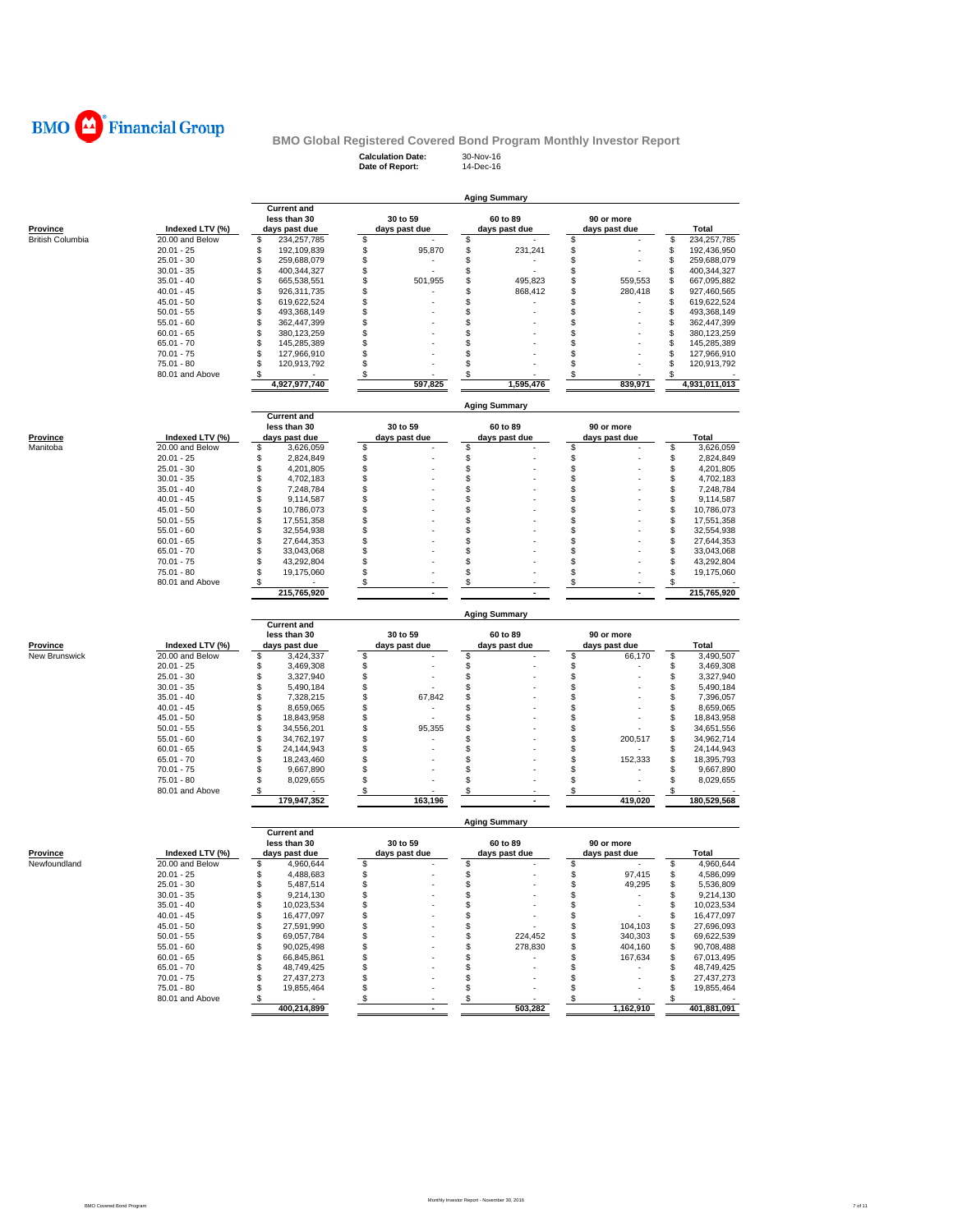

**Calculation Date:** 30-Nov-16 **Date of Report:** 14-Dec-16

|                         |                                    |                                      |                           | <b>Aging Summary</b>      |                             |                                    |
|-------------------------|------------------------------------|--------------------------------------|---------------------------|---------------------------|-----------------------------|------------------------------------|
|                         |                                    | <b>Current and</b>                   |                           |                           |                             |                                    |
| Province                | Indexed LTV (%)                    | less than 30<br>days past due        | 30 to 59<br>days past due | 60 to 89<br>days past due | 90 or more<br>days past due | Total                              |
| <b>British Columbia</b> | 20.00 and Below                    | \$<br>234,257,785                    | \$                        | \$                        | \$                          | \$<br>234, 257, 785                |
|                         | $20.01 - 25$                       | \$<br>192,109,839                    | \$<br>95,870              | \$<br>231,241             | \$                          | \$<br>192,436,950                  |
|                         | $25.01 - 30$                       | \$<br>259,688,079                    | \$                        | \$                        | \$                          | \$<br>259,688,079                  |
|                         | $30.01 - 35$                       | \$<br>400,344,327<br>\$              | \$                        | \$<br>\$<br>495.823       | \$<br>\$<br>559.553         | \$<br>400,344,327<br>\$            |
|                         | $35.01 - 40$<br>$40.01 - 45$       | 665,538,551<br>\$<br>926,311,735     | \$<br>501,955<br>\$       | \$<br>868,412             | \$<br>280,418               | 667,095,882<br>\$<br>927,460,565   |
|                         | $45.01 - 50$                       | \$<br>619,622,524                    | \$                        | \$                        | \$                          | \$<br>619,622,524                  |
|                         | $50.01 - 55$                       | \$<br>493,368,149                    | \$                        | \$                        | \$                          | \$<br>493,368,149                  |
|                         | $55.01 - 60$                       | \$<br>362,447,399                    | \$                        | \$                        | \$                          | \$<br>362,447,399                  |
|                         | $60.01 - 65$                       | \$<br>380,123,259                    | \$                        | \$                        | \$                          | \$<br>380,123,259                  |
|                         | $65.01 - 70$                       | \$<br>145,285,389                    | \$                        | \$                        | \$                          | \$<br>145,285,389                  |
|                         | $70.01 - 75$                       | \$<br>127,966,910                    | \$                        | \$                        | \$                          | \$<br>127,966,910                  |
|                         | 75.01 - 80<br>80.01 and Above      | \$<br>120,913,792<br>\$              | \$                        | \$<br>\$                  | \$                          | \$<br>120,913,792<br>\$            |
|                         |                                    | 4,927,977,740                        | \$<br>597,825             | 1,595,476                 | \$<br>839,971               | 4,931,011,013                      |
|                         |                                    |                                      |                           | <b>Aging Summary</b>      |                             |                                    |
|                         |                                    | <b>Current and</b>                   |                           |                           |                             |                                    |
|                         |                                    | less than 30                         | 30 to 59                  | 60 to 89                  | 90 or more                  |                                    |
| Province<br>Manitoba    | Indexed LTV (%)<br>20.00 and Below | days past due<br>\$<br>3,626,059     | days past due<br>\$       | days past due<br>\$       | days past due<br>\$         | Total<br>\$<br>3,626,059           |
|                         | $20.01 - 25$                       | \$<br>2,824,849                      | \$                        | \$                        | \$                          | \$<br>2,824,849                    |
|                         | $25.01 - 30$                       | \$<br>4,201,805                      | \$                        | \$                        | \$                          | \$<br>4,201,805                    |
|                         | $30.01 - 35$                       | \$<br>4,702,183                      | \$                        | \$                        | \$                          | \$<br>4,702,183                    |
|                         | $35.01 - 40$                       | \$<br>7,248,784                      | \$                        | \$                        | \$                          | \$<br>7,248,784                    |
|                         | $40.01 - 45$                       | \$<br>9,114,587                      | \$                        | \$                        | \$                          | \$<br>9,114,587                    |
|                         | $45.01 - 50$                       | \$<br>10,786,073                     | \$                        | \$                        | \$                          | \$<br>10,786,073                   |
|                         | $50.01 - 55$                       | \$<br>17,551,358                     | \$                        | \$                        | \$                          | \$<br>17,551,358                   |
|                         | $55.01 - 60$<br>$60.01 - 65$       | \$<br>32,554,938<br>\$               | \$<br>\$                  | \$<br>\$                  | \$<br>\$                    | \$<br>32,554,938<br>\$             |
|                         | $65.01 - 70$                       | 27,644,353<br>\$<br>33,043,068       | \$                        | \$                        | \$                          | 27,644,353<br>\$<br>33,043,068     |
|                         | $70.01 - 75$                       | \$<br>43,292,804                     | \$                        | \$                        | \$                          | \$<br>43,292,804                   |
|                         | 75.01 - 80                         | \$<br>19,175,060                     | \$                        | \$                        | \$                          | \$<br>19,175,060                   |
|                         | 80.01 and Above                    | \$                                   | $\boldsymbol{\mathsf{S}}$ | \$                        | \$                          | \$<br>215,765,920                  |
|                         |                                    | 215,765,920                          |                           |                           |                             |                                    |
|                         |                                    |                                      |                           |                           |                             |                                    |
|                         |                                    | <b>Current and</b>                   |                           | <b>Aging Summary</b>      |                             |                                    |
|                         |                                    | less than 30                         | 30 to 59                  | 60 to 89                  | 90 or more                  |                                    |
| Province                | Indexed LTV (%)                    | days past due                        | days past due             | days past due             | days past due               | Total                              |
| New Brunswick           | 20.00 and Below                    | \$<br>3,424,337                      | \$                        | \$                        | \$<br>66,170                | \$<br>3,490,507                    |
|                         | $20.01 - 25$                       | \$<br>3,469,308                      | \$                        | \$                        | \$                          | \$<br>3,469,308                    |
|                         | $25.01 - 30$                       | \$<br>3,327,940                      | \$                        | \$                        | \$                          | \$<br>3,327,940                    |
|                         | $30.01 - 35$<br>$35.01 - 40$       | \$<br>5,490,184<br>\$<br>7,328,215   | \$<br>\$<br>67,842        | \$<br>\$                  | \$<br>\$                    | \$<br>5,490,184<br>\$<br>7,396,057 |
|                         | $40.01 - 45$                       | \$<br>8,659,065                      | \$                        | \$                        | \$                          | \$<br>8,659,065                    |
|                         | $45.01 - 50$                       | \$<br>18,843,958                     | \$                        | \$                        | \$                          | \$<br>18,843,958                   |
|                         | $50.01 - 55$                       | \$<br>34,556,201                     | \$<br>95,355              | \$                        | \$                          | \$<br>34,651,556                   |
|                         | $55.01 - 60$                       | \$<br>34,762,197                     | \$                        | \$                        | \$<br>200,517               | \$<br>34,962,714                   |
|                         | $60.01 - 65$                       | \$<br>24,144,943                     | \$                        | \$                        | \$                          | \$<br>24,144,943                   |
|                         | $65.01 - 70$                       | \$<br>18,243,460                     | \$                        | \$                        | \$<br>152,333               | \$<br>18,395,793                   |
|                         | $70.01 - 75$                       | \$<br>9,667,890                      | \$                        | \$                        | \$                          | \$<br>9,667,890                    |
|                         | 75.01 - 80<br>80.01 and Above      | \$<br>8,029,655<br>\$                | \$<br>\$                  | \$<br>\$                  | \$<br>\$                    | \$<br>8,029,655<br>\$              |
|                         |                                    | 179,947,352                          | 163,196                   |                           | 419,020                     | 180,529,568                        |
|                         |                                    |                                      |                           | <b>Aging Summary</b>      |                             |                                    |
|                         |                                    | <b>Current and</b><br>less than 30   | 30 to 59                  | 60 to 89                  | 90 or more                  |                                    |
| Province                | Indexed LTV (%)                    | days past due                        | days past due             | days past due             | days past due               | Total                              |
| Newfoundland            | 20.00 and Below                    | \$<br>4,960,644                      | \$                        | \$<br>ъ                   | \$                          | 4,960,644<br>\$                    |
|                         | 20.01 - 25                         | ৬<br>4,488,683                       | \$                        |                           | ৬<br>97,415                 | ৬<br>4,586,099                     |
|                         | $25.01 - 30$<br>$30.01 - 35$       | \$<br>5,487,514<br>\$<br>9,214,130   | \$                        | \$<br>\$                  | \$<br>49,295<br>\$          | \$<br>5,536,809<br>9,214,130<br>\$ |
|                         | $35.01 - 40$                       | \$<br>10,023,534                     | \$                        | \$                        | \$<br>÷.                    | 10,023,534<br>\$                   |
|                         | $40.01 - 45$                       | \$<br>16,477,097                     | \$                        | \$                        | \$                          | \$<br>16,477,097                   |
|                         | $45.01 - 50$                       | \$<br>27,591,990                     | \$                        | \$                        | \$<br>104,103               | 27,696,093<br>\$                   |
|                         | $50.01 - 55$                       | \$<br>69,057,784                     | \$                        | \$<br>224,452             | \$<br>340,303               | 69,622,539<br>\$                   |
|                         | $55.01 - 60$                       | \$<br>90,025,498                     | \$                        | \$<br>278,830             | \$<br>404,160               | 90,708,488<br>\$                   |
|                         | $60.01 - 65$                       | \$<br>66,845,861                     | \$                        | \$                        | \$<br>167,634               | 67,013,495<br>\$                   |
|                         | $65.01 - 70$<br>$70.01 - 75$       | \$<br>48,749,425<br>\$<br>27,437,273 | \$<br>\$                  | \$<br>\$                  | \$<br>٠<br>\$<br>٠          | \$<br>48,749,425<br>\$             |
|                         | $75.01 - 80$                       | \$<br>19,855,464                     | \$                        | \$                        | \$                          | 27,437,273<br>\$<br>19,855,464     |
|                         | 80.01 and Above                    | \$<br>$\sim$<br>400,214,899          | \$                        | \$<br>503,282             | \$<br>1.162.910             | 401,881,091                        |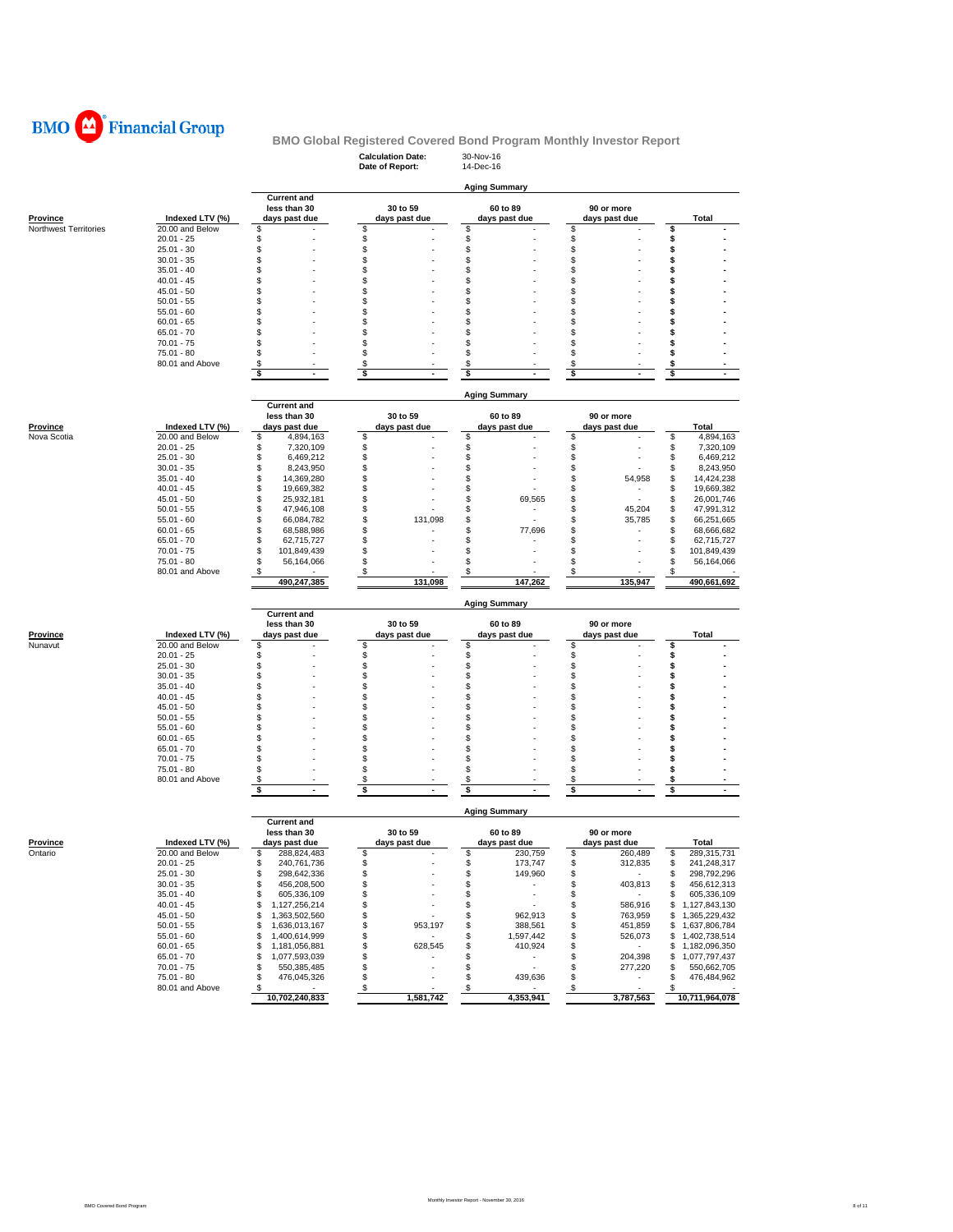

### **Calculation Date:** 30-Nov-16 **BMO Global Registered Covered Bond Program Monthly Investor Report**

|                       |                               |                                      | Date of Report:                      | 14-Dec-16                      |                             |                                      |
|-----------------------|-------------------------------|--------------------------------------|--------------------------------------|--------------------------------|-----------------------------|--------------------------------------|
|                       |                               |                                      |                                      | <b>Aging Summary</b>           |                             |                                      |
|                       |                               | <b>Current and</b>                   |                                      |                                |                             |                                      |
|                       |                               | less than 30                         | 30 to 59                             | 60 to 89                       | 90 or more                  |                                      |
| Province              | Indexed LTV (%)               | days past due                        | days past due                        | days past due                  | days past due               | <b>Total</b>                         |
| Northwest Territories | 20.00 and Below               | \$                                   | \$                                   | \$                             | \$                          | \$                                   |
|                       | $20.01 - 25$                  | \$                                   | \$                                   | \$                             | \$                          | \$                                   |
|                       | $25.01 - 30$<br>$30.01 - 35$  | \$<br>\$                             | \$<br>\$                             | \$<br>\$                       | \$<br>\$                    | \$<br>\$                             |
|                       | $35.01 - 40$                  | \$                                   | \$                                   | \$                             | \$                          | \$                                   |
|                       | $40.01 - 45$                  | \$                                   | \$                                   | \$                             | \$                          | \$                                   |
|                       | $45.01 - 50$                  | \$                                   | \$                                   | S                              | \$                          | \$                                   |
|                       | $50.01 - 55$                  | \$                                   | \$                                   | \$                             | \$                          | \$                                   |
|                       | $55.01 - 60$                  | \$                                   | \$                                   | \$                             | \$                          | \$                                   |
|                       | $60.01 - 65$                  | \$                                   | \$                                   | \$                             | \$                          | \$                                   |
|                       | $65.01 - 70$                  | \$                                   | \$                                   | \$                             | \$                          | \$                                   |
|                       | $70.01 - 75$                  | \$                                   | \$                                   | \$                             | \$                          | \$                                   |
|                       | 75.01 - 80                    | s                                    | \$                                   | \$                             | \$                          | \$                                   |
|                       | 80.01 and Above               | \$<br>\$<br>$\blacksquare$           | \$<br>\$<br>$\overline{\phantom{a}}$ | \$<br>\$                       | \$<br>\$<br>$\blacksquare$  | \$<br>\$<br>$\blacksquare$           |
|                       |                               |                                      |                                      |                                |                             |                                      |
|                       |                               |                                      |                                      | Aging Summary                  |                             |                                      |
|                       |                               | <b>Current and</b>                   |                                      |                                |                             |                                      |
|                       |                               | less than 30                         | 30 to 59                             | 60 to 89                       | 90 or more                  |                                      |
| Province              | Indexed LTV (%)               | days past due                        | days past due                        | days past due                  | days past due               | Total                                |
| Nova Scotia           | 20.00 and Below               | \$<br>4,894,163                      | \$                                   | \$                             | \$                          | \$<br>4,894,163                      |
|                       | $20.01 - 25$                  | \$<br>7,320,109                      | \$                                   | \$                             | \$                          | \$<br>7,320,109                      |
|                       | $25.01 - 30$                  | \$<br>6,469,212                      | \$                                   | \$                             | \$                          | \$<br>6,469,212                      |
|                       | $30.01 - 35$                  | \$<br>8,243,950                      | \$                                   | \$                             | \$                          | 8,243,950<br>\$                      |
|                       | $35.01 - 40$                  | \$<br>14,369,280                     | \$                                   | \$                             | S<br>54,958                 | \$<br>14,424,238                     |
|                       | $40.01 - 45$                  | \$<br>19,669,382                     | \$                                   | \$                             | \$                          | \$<br>19,669,382                     |
|                       | $45.01 - 50$                  | \$<br>25,932,181                     | \$                                   | \$<br>69,565                   | \$                          | \$<br>26,001,746                     |
|                       | $50.01 - 55$<br>$55.01 - 60$  | \$<br>47,946,108<br>\$<br>66,084,782 | \$<br>\$<br>131,098                  | \$<br>\$                       | S<br>45,204<br>S<br>35,785  | \$<br>47,991,312<br>\$<br>66,251,665 |
|                       | $60.01 - 65$                  | \$<br>68,588,986                     | \$                                   | \$<br>77,696                   | \$                          | \$<br>68,666,682                     |
|                       | $65.01 - 70$                  | \$<br>62,715,727                     | \$                                   | \$                             | \$                          | \$<br>62,715,727                     |
|                       | $70.01 - 75$                  | \$<br>101,849,439                    | \$                                   | \$                             | \$                          | \$<br>101,849,439                    |
|                       | 75.01 - 80                    | \$<br>56,164,066                     | \$                                   | \$                             | \$                          | \$<br>56,164,066                     |
|                       | 80.01 and Above               | \$                                   | \$                                   | S                              | \$                          | \$                                   |
|                       |                               | 490,247,385                          | 131,098                              | 147,262                        | 135,947                     | 490,661,692                          |
|                       |                               |                                      |                                      | <b>Aging Summary</b>           |                             |                                      |
|                       |                               | <b>Current and</b><br>less than 30   | 30 to 59                             | 60 to 89                       | 90 or more                  |                                      |
| Province              | Indexed LTV (%)               | days past due                        | days past due                        | days past due                  | days past due               | <b>Total</b>                         |
| Nunavut               | 20.00 and Below               | \$                                   | \$                                   | \$                             | \$                          | \$                                   |
|                       | $20.01 - 25$                  | \$                                   | \$                                   | \$                             | \$                          | \$                                   |
|                       | $25.01 - 30$                  | \$                                   | \$                                   | \$                             | \$                          | \$                                   |
|                       | $30.01 - 35$                  | \$                                   | \$                                   | \$                             | \$                          | \$                                   |
|                       | $35.01 - 40$                  | \$                                   | \$                                   | \$                             | \$                          | \$                                   |
|                       | $40.01 - 45$                  | \$                                   | \$                                   | \$                             | \$                          | \$                                   |
|                       | $45.01 - 50$                  | \$                                   | \$                                   | S                              | \$                          | \$                                   |
|                       | $50.01 - 55$                  | \$                                   | \$<br>\$                             | \$                             | \$                          | Ś                                    |
|                       | $55.01 - 60$<br>$60.01 - 65$  | \$<br>\$                             | \$                                   | \$<br>\$                       | \$<br>\$                    | \$<br>\$                             |
|                       | $65.01 - 70$                  | \$                                   | \$                                   | \$                             | \$                          | \$                                   |
|                       | $70.01 - 75$                  | \$                                   | \$                                   | S                              | \$                          | \$                                   |
|                       | 75.01 - 80                    | \$                                   | \$                                   | \$                             | \$                          | \$                                   |
|                       | 80.01 and Above               | \$                                   | \$                                   | \$                             | \$                          | S                                    |
|                       |                               | \$                                   | s<br>÷.                              | \$                             | \$                          | \$                                   |
|                       |                               |                                      |                                      | <b>Aging Summary</b>           |                             |                                      |
|                       |                               | <b>Current and</b>                   |                                      |                                |                             |                                      |
| Province              | Indexed LTV (%)               | less than 30<br>days past due        | 30 to 59<br>days past due            | 60 to 89<br>days past due      | 90 or more<br>days past due | <b>Total</b>                         |
| Ontario               | 20.00 and Below               | \$<br>288,824,483                    | \$                                   | \$<br>230,759                  | \$<br>260,489               | 289,315,731<br>\$                    |
|                       | 20.01 - 25                    | \$<br>240,761,736                    | \$                                   | 173,747                        | \$<br>312,835               | \$<br>241,248,317                    |
|                       | 25.01 - 30                    | 298,642,336<br>\$                    | \$                                   | \$<br>149,960                  | \$<br>$\sim$ $-$            | 298,792,296<br>\$                    |
|                       | $30.01 - 35$                  | \$<br>456,208,500                    | \$                                   | \$<br>$\overline{\phantom{a}}$ | 403,813<br>\$               | \$<br>456,612,313                    |
|                       | $35.01 - 40$                  | \$<br>605,336,109                    | \$                                   | \$<br>$\sim$                   | \$<br>$\sim 10^{-1}$        | 605,336,109<br>S                     |
|                       | $40.01 - 45$                  | \$<br>1,127,256,214                  | \$                                   | \$<br>$\sim$                   | 586,916<br>\$               | \$1,127,843,130                      |
|                       | 45.01 - 50                    | \$<br>1,363,502,560                  | \$                                   | \$<br>962,913                  | \$<br>763,959               | 1,365,229,432<br>\$                  |
|                       | $50.01 - 55$                  | \$<br>1,636,013,167                  | \$<br>953,197                        | 388,561<br>\$                  | \$<br>451,859               | 1,637,806,784<br>\$                  |
|                       | $55.01 - 60$                  | \$<br>1,400,614,999                  | \$                                   | \$<br>1,597,442                | \$<br>526,073               | 1,402,738,514<br>\$                  |
|                       | $60.01 - 65$                  | 1,181,056,881<br>\$                  | \$<br>628,545                        | \$<br>410,924                  | \$<br>$\sim$                | 1,182,096,350<br>\$                  |
|                       | $65.01 - 70$                  | 1,077,593,039<br>\$                  | \$<br>٠                              | \$<br>$\sim$                   | \$<br>204,398               | \$1,077,797,437                      |
|                       | $70.01 - 75$                  | 550,385,485<br>\$                    | \$                                   | $\sim$<br>\$                   | \$<br>277,220               | \$<br>550,662,705<br>\$              |
|                       | 75.01 - 80<br>80.01 and Above | \$<br>476,045,326                    | \$                                   | 439,636<br>\$                  | \$<br>$\sim$                | 476,484,962<br>\$                    |
|                       |                               | $\mathbf{\hat{s}}$<br>10,702,240,833 | <u>s</u><br>1,581,742                | $\frac{3}{2}$<br>4,353,941     | \$<br>3,787,563             | 10,711,964,078                       |
|                       |                               |                                      |                                      |                                |                             |                                      |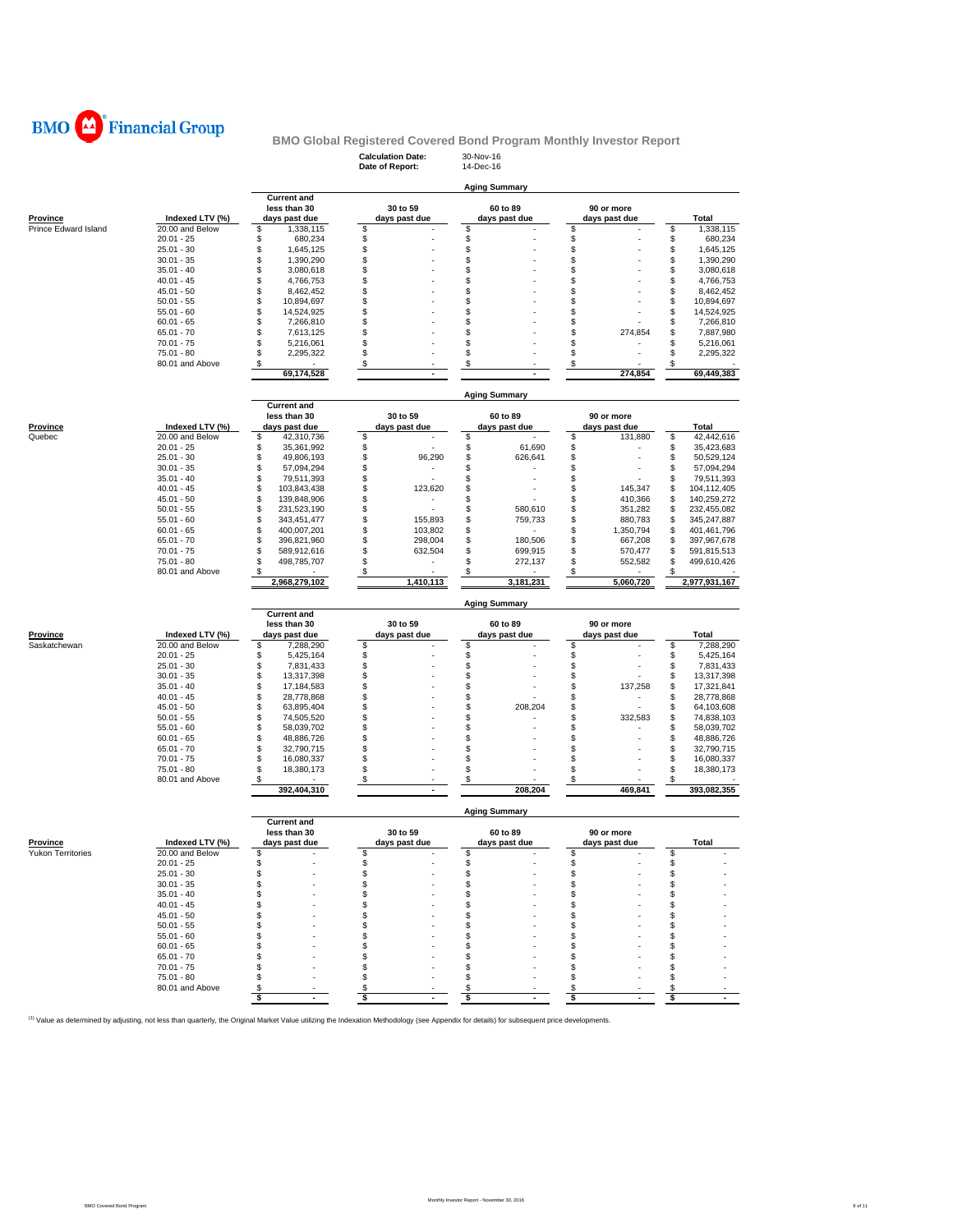

### **Calculation Date:** 30-Nov-16 **BMO Global Registered Covered Bond Program Monthly Investor Report**

|                          |                               |                                        | Date of Report:           | 14-Dec-16                 |                                  |                                        |
|--------------------------|-------------------------------|----------------------------------------|---------------------------|---------------------------|----------------------------------|----------------------------------------|
|                          |                               |                                        |                           |                           |                                  |                                        |
|                          |                               |                                        |                           | <b>Aging Summary</b>      |                                  |                                        |
|                          |                               | <b>Current and</b><br>less than 30     |                           |                           |                                  |                                        |
| <b>Province</b>          | Indexed LTV (%)               | days past due                          | 30 to 59<br>days past due | 60 to 89<br>days past due | 90 or more<br>days past due      | Total                                  |
| Prince Edward Island     | 20.00 and Below               | \$<br>1,338,115                        | \$                        | \$                        | \$                               | \$<br>1,338,115                        |
|                          | $20.01 - 25$                  | \$<br>680,234                          |                           | \$                        | \$                               | \$<br>680,234                          |
|                          | $25.01 - 30$                  | \$<br>1,645,125                        | \$                        | \$                        | \$                               | \$<br>1,645,125                        |
|                          | $30.01 - 35$                  | \$<br>1,390,290                        | \$                        | \$                        | \$                               | \$<br>1,390,290                        |
|                          | $35.01 - 40$                  | \$<br>3,080,618                        | \$                        | \$                        | \$                               | \$<br>3,080,618                        |
|                          | $40.01 - 45$                  | \$<br>4,766,753                        | \$                        | \$                        | \$                               | \$<br>4,766,753                        |
|                          | $45.01 - 50$                  | \$<br>8,462,452                        | \$                        | \$                        | \$                               | \$<br>8,462,452                        |
|                          | $50.01 - 55$                  | \$<br>10,894,697                       | \$                        | \$                        | \$                               | \$<br>10,894,697                       |
|                          | $55.01 - 60$                  | \$<br>14,524,925                       | \$                        | \$                        | \$                               | \$<br>14,524,925                       |
|                          | $60.01 - 65$                  | \$<br>7,266,810                        | \$                        | \$                        | \$                               | \$<br>7,266,810                        |
|                          | $65.01 - 70$                  | \$<br>7,613,125                        | \$                        | \$                        | \$<br>274,854                    | \$<br>7,887,980                        |
|                          | $70.01 - 75$                  | \$<br>5,216,061<br>\$<br>2,295,322     | \$<br>\$                  | \$<br>\$                  | \$                               | \$<br>5,216,061<br>\$                  |
|                          | 75.01 - 80<br>80.01 and Above | \$                                     | \$                        | \$                        | \$<br>\$                         | 2,295,322<br>\$                        |
|                          |                               | 69,174,528                             | $\blacksquare$            |                           | 274,854                          | 69,449,383                             |
|                          |                               |                                        |                           |                           |                                  |                                        |
|                          |                               |                                        |                           | Aging Summary             |                                  |                                        |
|                          |                               | <b>Current and</b>                     |                           |                           |                                  |                                        |
|                          |                               | less than 30                           | 30 to 59                  | 60 to 89                  | 90 or more                       |                                        |
| Province                 | Indexed LTV (%)               | days past due                          | days past due             | days past due             | days past due                    | Total                                  |
| Quebec                   | 20.00 and Below               | \$<br>42,310,736                       | \$                        | \$                        | \$<br>131,880                    | \$<br>42,442,616                       |
|                          | $20.01 - 25$                  | \$<br>35,361,992                       | \$                        | \$<br>61,690              | \$                               | \$<br>35,423,683                       |
|                          | $25.01 - 30$                  | \$<br>49,806,193                       | \$<br>96,290              | \$<br>626,641             | \$<br>ä,                         | \$<br>50,529,124                       |
|                          | $30.01 - 35$                  | \$<br>57,094,294                       | \$                        | \$                        | \$                               | \$<br>57,094,294                       |
|                          | $35.01 - 40$                  | \$<br>79,511,393                       | \$                        | \$                        | \$                               | \$<br>79,511,393                       |
|                          | $40.01 - 45$                  | \$<br>103,843,438                      | \$<br>123,620             | \$                        | 145,347<br>S                     | \$<br>104,112,405                      |
|                          | $45.01 - 50$                  | \$<br>139,848,906                      | \$                        | \$                        | 410,366<br>S                     | \$<br>140,259,272                      |
|                          | $50.01 - 55$                  | \$<br>231,523,190                      | \$                        | \$<br>580,610             | 351,282<br>\$                    | \$<br>232,455,082                      |
|                          | $55.01 - 60$                  | \$<br>343,451,477                      | \$<br>155,893<br>103,802  | \$<br>759,733             | \$<br>880,783                    | \$<br>345,247,887                      |
|                          | $60.01 - 65$<br>$65.01 - 70$  | \$<br>400,007,201<br>\$<br>396,821,960 | \$<br>\$<br>298,004       | \$<br>\$<br>180,506       | \$<br>1,350,794<br>\$<br>667,208 | 401,461,796<br>\$<br>\$<br>397,967,678 |
|                          | $70.01 - 75$                  | \$<br>589,912,616                      | \$<br>632,504             | \$<br>699,915             | \$<br>570,477                    | \$<br>591,815,513                      |
|                          | 75.01 - 80                    | \$<br>498,785,707                      | \$                        | \$<br>272,137             | \$<br>552,582                    | \$<br>499,610,426                      |
|                          | 80.01 and Above               | S                                      | \$                        |                           |                                  | \$                                     |
|                          |                               | 2,968,279,102                          | 1,410,113                 | 3,181,231                 | 5,060,720                        | 2,977,931,167                          |
|                          |                               |                                        |                           |                           |                                  |                                        |
|                          |                               |                                        |                           | <b>Aging Summary</b>      |                                  |                                        |
|                          |                               |                                        |                           |                           |                                  |                                        |
|                          |                               | <b>Current and</b>                     |                           |                           |                                  |                                        |
|                          |                               | less than 30                           | 30 to 59                  | 60 to 89                  | 90 or more                       |                                        |
| Province                 | Indexed LTV (%)               | days past due                          | days past due             | days past due             | days past due                    | <b>Total</b>                           |
| Saskatchewan             | 20.00 and Below               | \$<br>7,288,290                        | \$                        | \$                        | \$                               | \$<br>7,288,290                        |
|                          | $20.01 - 25$                  | \$<br>5,425,164                        | \$                        | \$                        | \$                               | \$<br>5,425,164                        |
|                          | $25.01 - 30$                  | \$<br>7,831,433                        | \$                        | \$                        | \$                               | \$<br>7,831,433                        |
|                          | $30.01 - 35$                  | \$<br>13,317,398                       | \$                        | \$                        | \$                               | \$<br>13,317,398                       |
|                          | $35.01 - 40$                  | \$<br>17,184,583                       | \$                        | \$                        | \$<br>137,258                    | \$<br>17,321,841                       |
|                          | $40.01 - 45$                  | \$<br>28,778,868                       | \$                        | \$                        | \$                               | \$<br>28,778,868                       |
|                          | $45.01 - 50$                  | \$<br>63,895,404                       | \$                        | \$<br>208,204<br>\$       | \$                               | \$<br>64,103,608                       |
|                          | $50.01 - 55$                  | \$<br>74,505,520                       | \$<br>\$                  | \$                        | 332,583<br>\$<br>\$              | 74,838,103<br>\$<br>\$                 |
|                          | $55.01 - 60$<br>$60.01 - 65$  | \$<br>58,039,702<br>\$<br>48,886,726   | \$                        | \$                        | \$                               | 58,039,702<br>\$<br>48,886,726         |
|                          | $65.01 - 70$                  | \$<br>32,790,715                       | \$                        | \$                        | \$                               | \$<br>32,790,715                       |
|                          | $70.01 - 75$                  | \$<br>16,080,337                       | \$                        | \$                        | \$                               | \$<br>16,080,337                       |
|                          | 75.01 - 80                    | \$<br>18,380,173                       | \$                        | \$                        | \$                               | \$<br>18,380,173                       |
|                          | 80.01 and Above               | \$                                     | \$                        | \$                        | \$                               | \$                                     |
|                          |                               | 392,404,310                            | ×                         | 208,204                   | 469,841                          | 393,082,355                            |
|                          |                               |                                        |                           |                           |                                  |                                        |
|                          |                               |                                        |                           | Aging Summary             |                                  |                                        |
|                          |                               | <b>Current and</b>                     |                           |                           |                                  |                                        |
|                          |                               | less than 30                           | 30 to 59                  | 60 to 89                  | 90 or more                       |                                        |
| <b>Province</b>          | Indexed LTV (%)               | days past due                          | days past due             | days past due             | days past due                    | <b>Total</b>                           |
| <b>Yukon Territories</b> | 20.00 and Below               | \$                                     | \$                        | \$<br>\$                  | \$                               | \$                                     |
|                          | $20.01 - 25$                  | \$                                     | \$                        | \$                        | \$                               | \$                                     |
|                          | $25.01 - 30$<br>$30.01 - 35$  | \$                                     | \$                        | \$                        | \$<br>\$                         | \$                                     |
|                          |                               | \$                                     | \$                        | \$                        | \$                               | \$                                     |
|                          | $35.01 - 40$<br>$40.01 - 45$  | \$<br>\$                               | \$<br>\$                  | \$                        | \$                               | \$<br>\$                               |
|                          | $45.01 - 50$                  | \$                                     | \$                        | \$                        | \$                               | \$                                     |
|                          | $50.01 - 55$                  | \$                                     | \$                        | \$                        | \$                               | \$                                     |
|                          | $55.01 - 60$                  | \$                                     | \$                        | S                         | S                                | \$                                     |
|                          | $60.01 - 65$                  | \$                                     | \$                        | S                         | \$                               | \$                                     |
|                          | $65.01 - 70$                  | \$                                     | \$                        | \$                        | \$                               | \$                                     |
|                          | $70.01 - 75$                  | \$                                     | \$                        | \$                        | \$                               | \$                                     |
|                          | 75.01 - 80                    | \$                                     | \$                        | \$                        | \$                               | \$                                     |
|                          | 80.01 and Above               | \$<br>\$                               | \$<br>\$                  | \$<br>\$                  | S<br>\$                          | \$<br>\$                               |

<sup>(1)</sup> Value as determined by adjusting, not less than quarterly, the Original Market Value utilizing the Indexation Methodology (see Appendix for details) for subsequent price developments.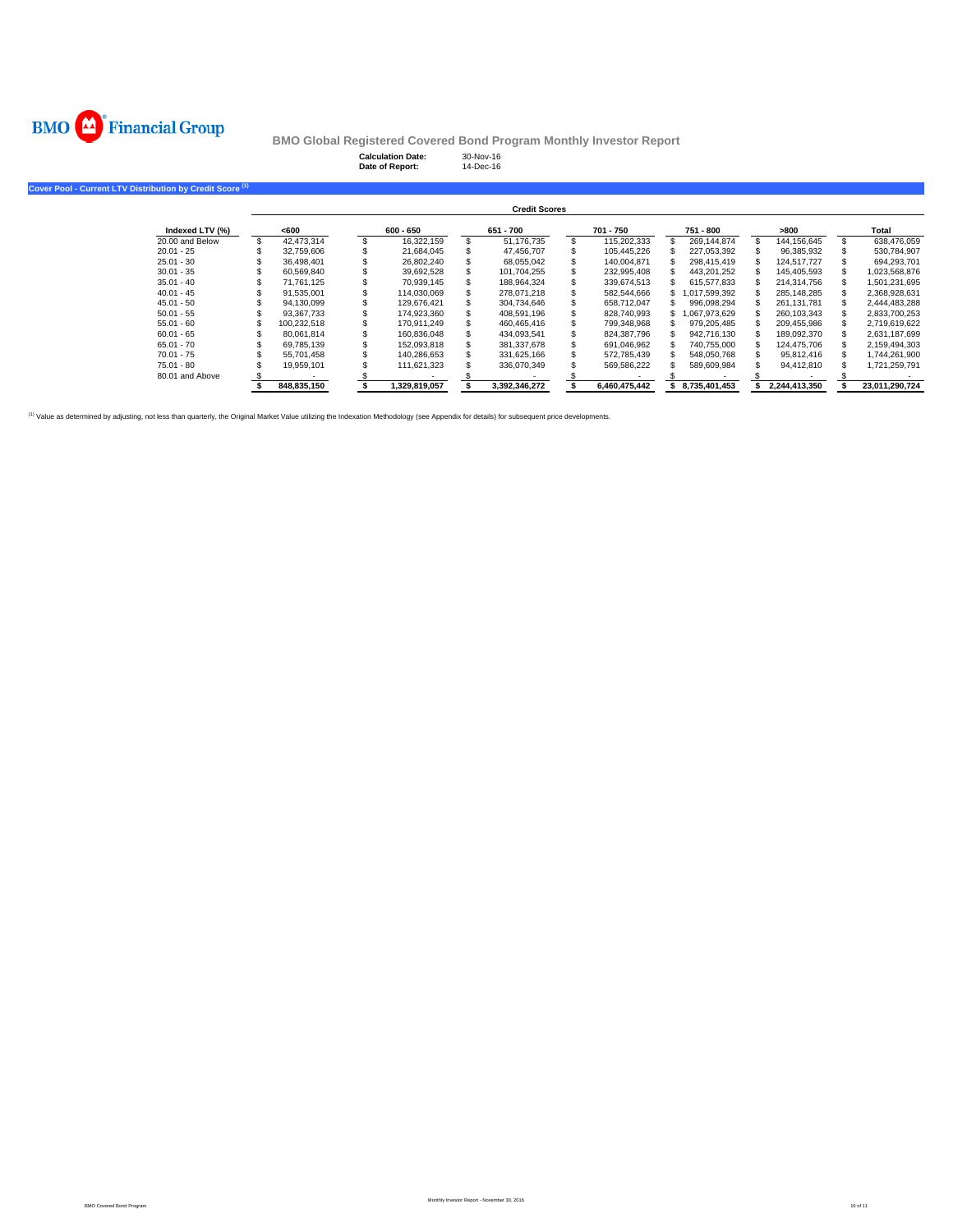

|                                                                      |             | <b>Calculation Date:</b><br>Date of Report: | 30-Nov-16<br>14-Dec-16 |               |               |               |                |
|----------------------------------------------------------------------|-------------|---------------------------------------------|------------------------|---------------|---------------|---------------|----------------|
| Cover Pool - Current LTV Distribution by Credit Score <sup>(1)</sup> |             |                                             |                        |               |               |               |                |
|                                                                      |             |                                             | <b>Credit Scores</b>   |               |               |               |                |
| Indexed LTV (%)                                                      | <600        | $600 - 650$                                 | 651 - 700              | 701 - 750     | 751 - 800     | >800          | Total          |
| 20.00 and Below                                                      | 42,473,314  | 16,322,159                                  | 51,176,735             | 115,202,333   | 269,144,874   | 144,156,645   | 638,476,059    |
| $20.01 - 25$                                                         | 32,759,606  | 21,684,045                                  | 47,456,707             | 105,445,226   | 227,053,392   | 96,385,932    | 530,784,907    |
| $25.01 - 30$                                                         | 36.498.401  | 26,802,240                                  | 68,055,042             | 140,004,871   | 298,415,419   | 124.517.727   | 694,293,701    |
| $30.01 - 35$                                                         | 60.569.840  | 39,692,528                                  | 101.704.255            | 232.995.408   | 443,201,252   | 145.405.593   | 1,023,568,876  |
| $35.01 - 40$                                                         | 71.761.125  | 70,939,145                                  | 188,964,324            | 339,674,513   | 615,577,833   | 214,314,756   | 1,501,231,695  |
| $40.01 - 45$                                                         | 91,535,001  | 114,030,069                                 | 278.071.218            | 582,544,666   | 1,017,599,392 | 285,148,285   | 2,368,928,631  |
| $45.01 - 50$                                                         | 94,130,099  | 129,676,421                                 | 304,734,646            | 658,712,047   | 996,098,294   | 261,131,781   | 2,444,483,288  |
| $50.01 - 55$                                                         | 93.367.733  | 174,923,360                                 | 408.591.196            | 828,740,993   | 1,067,973,629 | 260,103,343   | 2,833,700,253  |
| $55.01 - 60$                                                         | 100,232,518 | 170,911,249                                 | 460,465,416            | 799,348,968   | 979,205,485   | 209,455,986   | 2,719,619,622  |
| $60.01 - 65$                                                         | 80,061,814  | 160,836,048                                 | 434,093,541            | 824,387,796   | 942,716,130   | 189,092,370   | 2,631,187,699  |
| $65.01 - 70$                                                         | 69,785,139  | 152,093,818                                 | 381,337,678            | 691,046,962   | 740,755,000   | 124,475,706   | 2,159,494,303  |
| $70.01 - 75$                                                         | 55,701,458  | 140,286,653                                 | 331,625,166            | 572,785,439   | 548,050,768   | 95,812,416    | 1,744,261,900  |
| $75.01 - 80$                                                         | 19,959,101  | 111,621,323                                 | 336,070,349            | 569,586,222   | 589,609,984   | 94,412,810    | 1,721,259,791  |
| 80.01 and Above                                                      |             |                                             |                        |               |               |               |                |
|                                                                      | 848.835.150 | 1,329,819,057                               | 3.392.346.272          | 6.460.475.442 | 8,735,401,453 | 2,244,413,350 | 23.011.290.724 |

(1) Value as determined by adjusting, not less than quarterly, the Original Market Value utilizing the Indexation Methodology (see Appendix for details) for subsequent price developments.